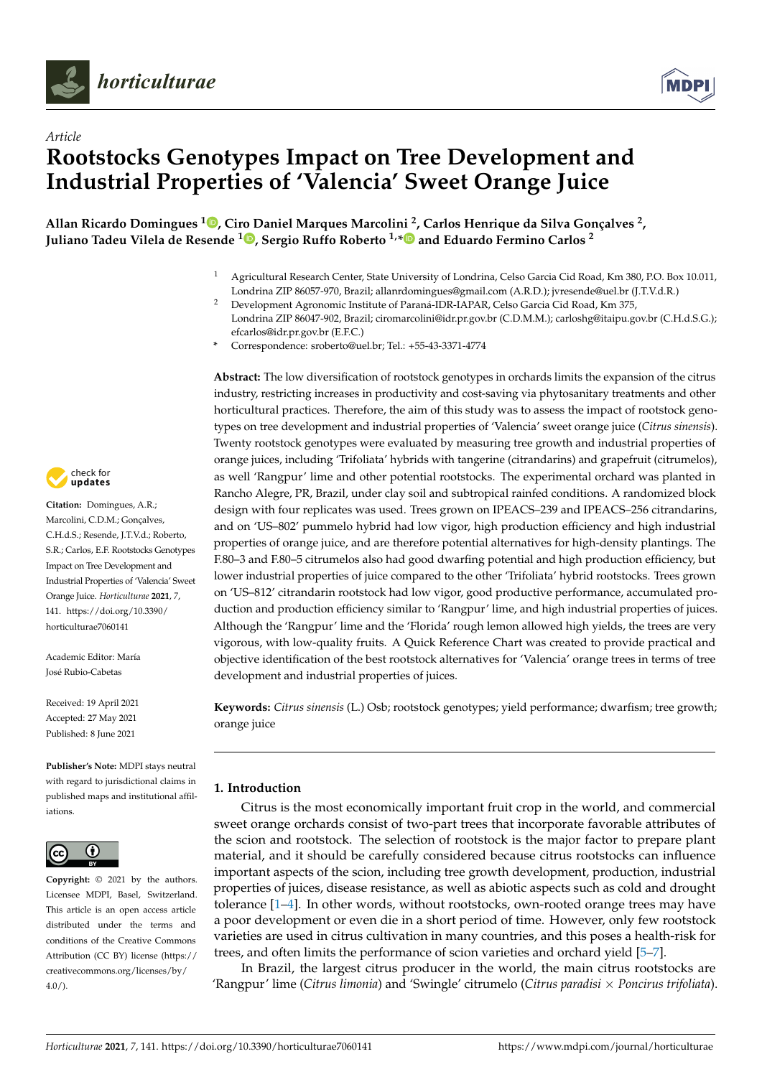



# *Article* **Rootstocks Genotypes Impact on Tree Development and Industrial Properties of 'Valencia' Sweet Orange Juice**

**Allan Ricardo Domingues [1](https://orcid.org/0000-0001-8137-9910) , Ciro Daniel Marques Marcolini <sup>2</sup> , Carlos Henrique da Silva Gonçalves <sup>2</sup> , Juliano Tadeu Vilela de Resende [1](https://orcid.org/0000-0001-5226-7813) , Sergio Ruffo Roberto 1,[\\*](https://orcid.org/0000-0003-2357-187X) and Eduardo Fermino Carlos <sup>2</sup>**

- <sup>1</sup> Agricultural Research Center, State University of Londrina, Celso Garcia Cid Road, Km 380, P.O. Box 10.011, Londrina ZIP 86057-970, Brazil; allanrdomingues@gmail.com (A.R.D.); jvresende@uel.br (J.T.V.d.R.)
- <sup>2</sup> Development Agronomic Institute of Paraná-IDR-IAPAR, Celso Garcia Cid Road, Km 375, Londrina ZIP 86047-902, Brazil; ciromarcolini@idr.pr.gov.br (C.D.M.M.); carloshg@itaipu.gov.br (C.H.d.S.G.);

**Abstract:** The low diversification of rootstock genotypes in orchards limits the expansion of the citrus industry, restricting increases in productivity and cost-saving via phytosanitary treatments and other horticultural practices. Therefore, the aim of this study was to assess the impact of rootstock genotypes on tree development and industrial properties of 'Valencia' sweet orange juice (*Citrus sinensis*). Twenty rootstock genotypes were evaluated by measuring tree growth and industrial properties of orange juices, including 'Trifoliata' hybrids with tangerine (citrandarins) and grapefruit (citrumelos), as well 'Rangpur' lime and other potential rootstocks. The experimental orchard was planted in Rancho Alegre, PR, Brazil, under clay soil and subtropical rainfed conditions. A randomized block design with four replicates was used. Trees grown on IPEACS–239 and IPEACS–256 citrandarins, and on 'US–802' pummelo hybrid had low vigor, high production efficiency and high industrial properties of orange juice, and are therefore potential alternatives for high-density plantings. The F.80–3 and F.80–5 citrumelos also had good dwarfing potential and high production efficiency, but lower industrial properties of juice compared to the other 'Trifoliata' hybrid rootstocks. Trees grown on 'US–812' citrandarin rootstock had low vigor, good productive performance, accumulated production and production efficiency similar to 'Rangpur' lime, and high industrial properties of juices. Although the 'Rangpur' lime and the 'Florida' rough lemon allowed high yields, the trees are very vigorous, with low-quality fruits. A Quick Reference Chart was created to provide practical and objective identification of the best rootstock alternatives for 'Valencia' orange trees in terms of tree development and industrial properties of juices.

**Keywords:** *Citrus sinensis* (L.) Osb; rootstock genotypes; yield performance; dwarfism; tree growth; orange juice

## **1. Introduction**

Citrus is the most economically important fruit crop in the world, and commercial sweet orange orchards consist of two-part trees that incorporate favorable attributes of the scion and rootstock. The selection of rootstock is the major factor to prepare plant material, and it should be carefully considered because citrus rootstocks can influence important aspects of the scion, including tree growth development, production, industrial properties of juices, disease resistance, as well as abiotic aspects such as cold and drought tolerance [\[1–](#page-12-0)[4\]](#page-12-1). In other words, without rootstocks, own-rooted orange trees may have a poor development or even die in a short period of time. However, only few rootstock varieties are used in citrus cultivation in many countries, and this poses a health-risk for trees, and often limits the performance of scion varieties and orchard yield [\[5](#page-12-2)[–7\]](#page-12-3).

In Brazil, the largest citrus producer in the world, the main citrus rootstocks are 'Rangpur' lime (*Citrus limonia*) and 'Swingle' citrumelo (*Citrus paradisi* × *Poncirus trifoliata*).



**Citation:** Domingues, A.R.; Marcolini, C.D.M.; Gonçalves, C.H.d.S.; Resende, J.T.V.d.; Roberto, S.R.; Carlos, E.F. Rootstocks Genotypes Impact on Tree Development and Industrial Properties of 'Valencia' Sweet Orange Juice. *Horticulturae* **2021**, *7*, 141. [https://doi.org/10.3390/](https://doi.org/10.3390/horticulturae7060141) [horticulturae7060141](https://doi.org/10.3390/horticulturae7060141)

Academic Editor: María José Rubio-Cabetas

Received: 19 April 2021 Accepted: 27 May 2021 Published: 8 June 2021

**Publisher's Note:** MDPI stays neutral with regard to jurisdictional claims in published maps and institutional affiliations.



**Copyright:** © 2021 by the authors. Licensee MDPI, Basel, Switzerland. This article is an open access article distributed under the terms and conditions of the Creative Commons Attribution (CC BY) license (https:/[/](https://creativecommons.org/licenses/by/4.0/) [creativecommons.org/licenses/by/](https://creativecommons.org/licenses/by/4.0/)  $4.0/$ ).

efcarlos@idr.pr.gov.br (E.F.C.) **\*** Correspondence: sroberto@uel.br; Tel.: +55-43-3371-4774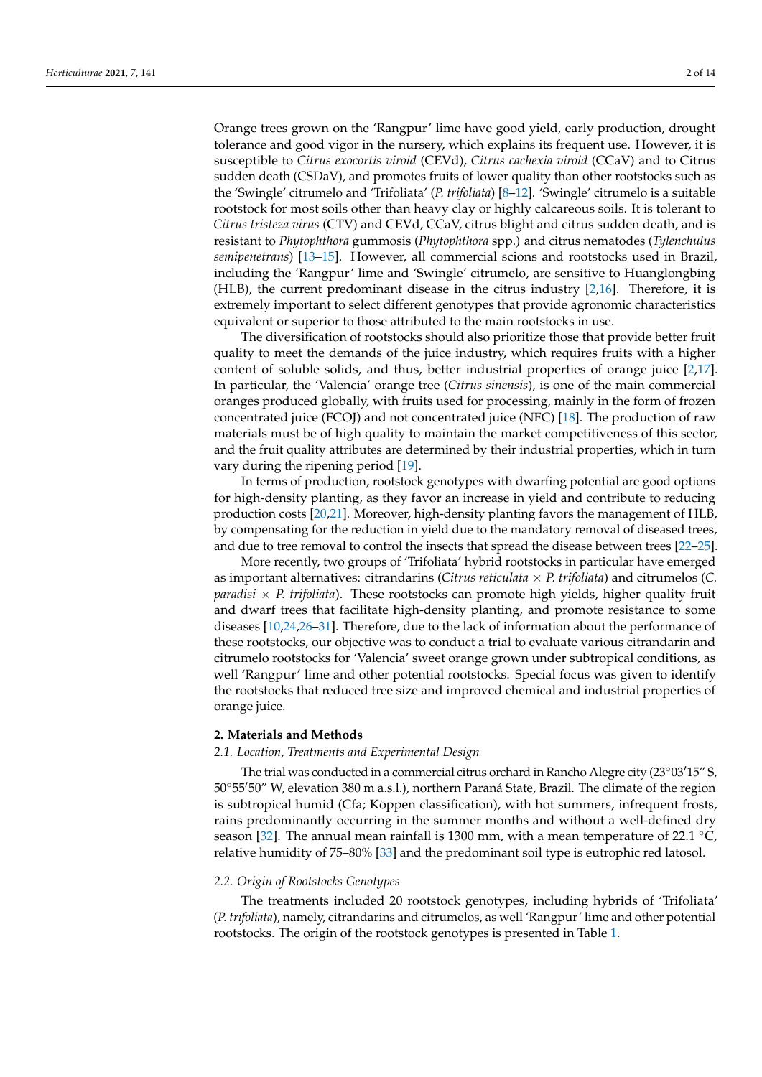Orange trees grown on the 'Rangpur' lime have good yield, early production, drought tolerance and good vigor in the nursery, which explains its frequent use. However, it is susceptible to *Citrus exocortis viroid* (CEVd), *Citrus cachexia viroid* (CCaV) and to Citrus sudden death (CSDaV), and promotes fruits of lower quality than other rootstocks such as the 'Swingle' citrumelo and 'Trifoliata' (*P. trifoliata*) [\[8–](#page-12-4)[12\]](#page-12-5). 'Swingle' citrumelo is a suitable rootstock for most soils other than heavy clay or highly calcareous soils. It is tolerant to *Citrus tristeza virus* (CTV) and CEVd, CCaV, citrus blight and citrus sudden death, and is resistant to *Phytophthora* gummosis (*Phytophthora* spp.) and citrus nematodes (*Tylenchulus semipenetrans*) [\[13](#page-12-6)[–15\]](#page-12-7). However, all commercial scions and rootstocks used in Brazil, including the 'Rangpur' lime and 'Swingle' citrumelo, are sensitive to Huanglongbing (HLB), the current predominant disease in the citrus industry [\[2](#page-12-8)[,16\]](#page-12-9). Therefore, it is extremely important to select different genotypes that provide agronomic characteristics equivalent or superior to those attributed to the main rootstocks in use.

The diversification of rootstocks should also prioritize those that provide better fruit quality to meet the demands of the juice industry, which requires fruits with a higher content of soluble solids, and thus, better industrial properties of orange juice [\[2,](#page-12-8)[17\]](#page-12-10). In particular, the 'Valencia' orange tree (*Citrus sinensis*), is one of the main commercial oranges produced globally, with fruits used for processing, mainly in the form of frozen concentrated juice (FCOJ) and not concentrated juice (NFC) [\[18\]](#page-12-11). The production of raw materials must be of high quality to maintain the market competitiveness of this sector, and the fruit quality attributes are determined by their industrial properties, which in turn vary during the ripening period [\[19\]](#page-12-12).

In terms of production, rootstock genotypes with dwarfing potential are good options for high-density planting, as they favor an increase in yield and contribute to reducing production costs [\[20](#page-12-13)[,21\]](#page-12-14). Moreover, high-density planting favors the management of HLB, by compensating for the reduction in yield due to the mandatory removal of diseased trees, and due to tree removal to control the insects that spread the disease between trees [\[22](#page-12-15)[–25\]](#page-13-0).

More recently, two groups of 'Trifoliata' hybrid rootstocks in particular have emerged as important alternatives: citrandarins (*Citrus reticulata* × *P. trifoliata*) and citrumelos (*C. paradisi* × *P. trifoliata*). These rootstocks can promote high yields, higher quality fruit and dwarf trees that facilitate high-density planting, and promote resistance to some diseases [\[10,](#page-12-16)[24,](#page-12-17)[26–](#page-13-1)[31\]](#page-13-2). Therefore, due to the lack of information about the performance of these rootstocks, our objective was to conduct a trial to evaluate various citrandarin and citrumelo rootstocks for 'Valencia' sweet orange grown under subtropical conditions, as well 'Rangpur' lime and other potential rootstocks. Special focus was given to identify the rootstocks that reduced tree size and improved chemical and industrial properties of orange juice.

## **2. Materials and Methods**

#### *2.1. Location, Treatments and Experimental Design*

The trial was conducted in a commercial citrus orchard in Rancho Alegre city (23 $\degree$ 03 $\degree$ 15 $\degree$ S, 50°55'50" W, elevation 380 m a.s.l.), northern Paraná State, Brazil. The climate of the region is subtropical humid (Cfa; Köppen classification), with hot summers, infrequent frosts, rains predominantly occurring in the summer months and without a well-defined dry season [\[32\]](#page-13-3). The annual mean rainfall is 1300 mm, with a mean temperature of 22.1 °C, relative humidity of 75–80% [\[33\]](#page-13-4) and the predominant soil type is eutrophic red latosol.

#### *2.2. Origin of Rootstocks Genotypes*

The treatments included 20 rootstock genotypes, including hybrids of 'Trifoliata' (*P. trifoliata*), namely, citrandarins and citrumelos, as well 'Rangpur' lime and other potential rootstocks. The origin of the rootstock genotypes is presented in Table [1.](#page-2-0)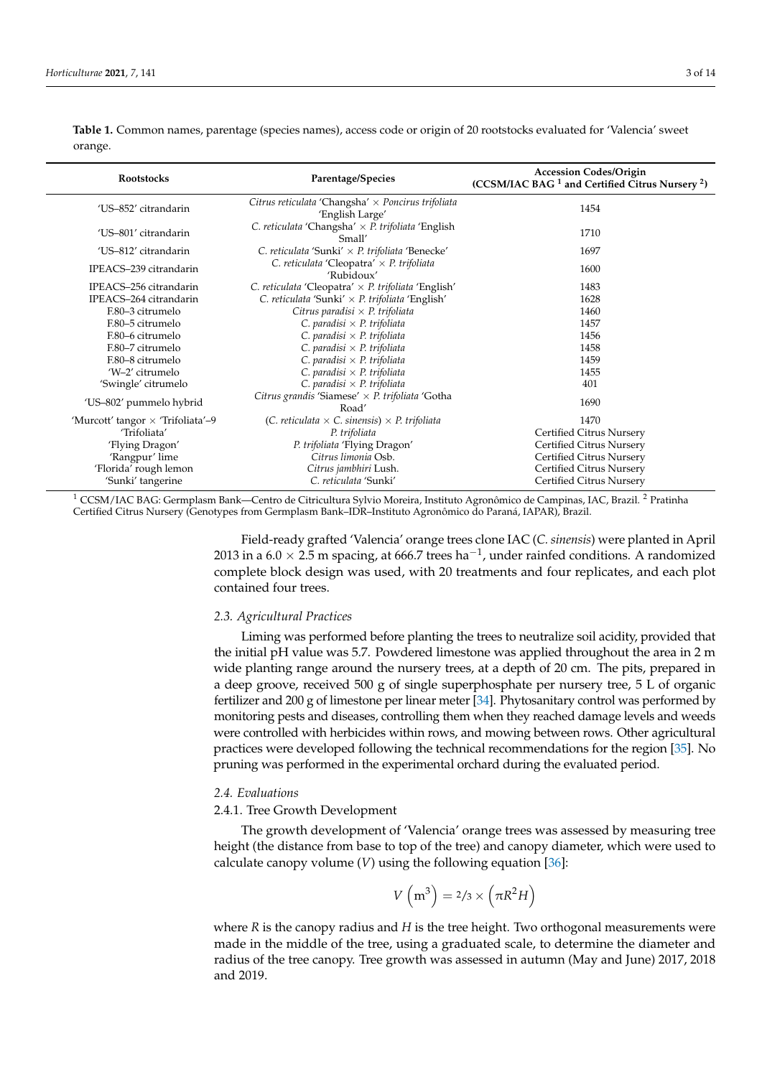| Rootstocks                        | Parentage/Species                                                            | <b>Accession Codes/Origin</b><br>$(CCSM/IAC BAG1$ and Certified Citrus Nursery <sup>2</sup> ) |
|-----------------------------------|------------------------------------------------------------------------------|-----------------------------------------------------------------------------------------------|
| 'US-852' citrandarin              | Citrus reticulata 'Changsha' $\times$ Poncirus trifoliata<br>'English Large' | 1454                                                                                          |
| 'US-801' citrandarin              | C. reticulata 'Changsha' $\times$ P. trifoliata 'English<br>Small'           | 1710                                                                                          |
| 'US-812' citrandarin              | C. reticulata 'Sunki' $\times$ P. trifoliata 'Benecke'                       | 1697                                                                                          |
| IPEACS-239 citrandarin            | C. reticulata 'Cleopatra' $\times$ P. trifoliata<br>'Rubidoux'               | 1600                                                                                          |
| IPEACS-256 citrandarin            | C. reticulata 'Cleopatra' $\times$ P. trifoliata 'English'                   | 1483                                                                                          |
| IPEACS-264 citrandarin            | C. reticulata 'Sunki' $\times$ P. trifoliata 'English'                       | 1628                                                                                          |
| F.80-3 citrumelo                  | Citrus paradisi $\times$ P. trifoliata                                       | 1460                                                                                          |
| F.80-5 citrumelo                  | C. paradisi $\times$ P. trifoliata                                           | 1457                                                                                          |
| F.80-6 citrumelo                  | C. paradisi $\times$ P. trifoliata                                           | 1456                                                                                          |
| F.80-7 citrumelo                  | C. paradisi $\times$ P. trifoliata                                           | 1458                                                                                          |
| F.80-8 citrumelo                  | C. paradisi $\times$ P. trifoliata                                           | 1459                                                                                          |
| 'W-2' citrumelo                   | C. paradisi $\times$ P. trifoliata                                           | 1455                                                                                          |
| 'Swingle' citrumelo               | C. paradisi $\times$ P. trifoliata                                           | 401                                                                                           |
| 'US-802' pummelo hybrid           | Citrus grandis 'Siamese' $\times$ P. trifoliata 'Gotha<br>Road'              | 1690                                                                                          |
| 'Murcott' tangor × 'Trifoliata'-9 | (C. reticulata $\times$ C. sinensis) $\times$ P. trifoliata                  | 1470                                                                                          |
| 'Trifoliata'                      | P. trifoliata                                                                | Certified Citrus Nursery                                                                      |
| 'Flying Dragon'                   | P. trifoliata 'Flying Dragon'                                                | Certified Citrus Nursery                                                                      |
| 'Rangpur' lime                    | Citrus limonia Osb.                                                          | Certified Citrus Nursery                                                                      |
| 'Florida' rough lemon             | Citrus jambhiri Lush.                                                        | Certified Citrus Nursery                                                                      |
| 'Sunki' tangerine                 | C. reticulata 'Sunki'                                                        | Certified Citrus Nursery                                                                      |

<span id="page-2-0"></span>**Table 1.** Common names, parentage (species names), access code or origin of 20 rootstocks evaluated for 'Valencia' sweet orange.

<sup>1</sup> CCSM/IAC BAG: Germplasm Bank—Centro de Citricultura Sylvio Moreira, Instituto Agronômico de Campinas, IAC, Brazil. <sup>2</sup> Pratinha Certified Citrus Nursery (Genotypes from Germplasm Bank–IDR–Instituto Agronômico do Paraná, IAPAR), Brazil.

> Field-ready grafted 'Valencia' orange trees clone IAC (*C. sinensis*) were planted in April 2013 in a  $6.0 \times 2.5$  m spacing, at 666.7 trees ha<sup>-1</sup>, under rainfed conditions. A randomized complete block design was used, with 20 treatments and four replicates, and each plot contained four trees.

#### *2.3. Agricultural Practices*

Liming was performed before planting the trees to neutralize soil acidity, provided that the initial pH value was 5.7. Powdered limestone was applied throughout the area in 2 m wide planting range around the nursery trees, at a depth of 20 cm. The pits, prepared in a deep groove, received 500 g of single superphosphate per nursery tree, 5 L of organic fertilizer and 200 g of limestone per linear meter [\[34\]](#page-13-5). Phytosanitary control was performed by monitoring pests and diseases, controlling them when they reached damage levels and weeds were controlled with herbicides within rows, and mowing between rows. Other agricultural practices were developed following the technical recommendations for the region [\[35\]](#page-13-6). No pruning was performed in the experimental orchard during the evaluated period.

#### *2.4. Evaluations*

## 2.4.1. Tree Growth Development

The growth development of 'Valencia' orange trees was assessed by measuring tree height (the distance from base to top of the tree) and canopy diameter, which were used to calculate canopy volume  $(V)$  using the following equation  $[36]$ :

$$
V\left(\text{m}^3\right) = 2/3 \times \left(\pi R^2 H\right)
$$

where *R* is the canopy radius and *H* is the tree height. Two orthogonal measurements were made in the middle of the tree, using a graduated scale, to determine the diameter and radius of the tree canopy. Tree growth was assessed in autumn (May and June) 2017, 2018 and 2019.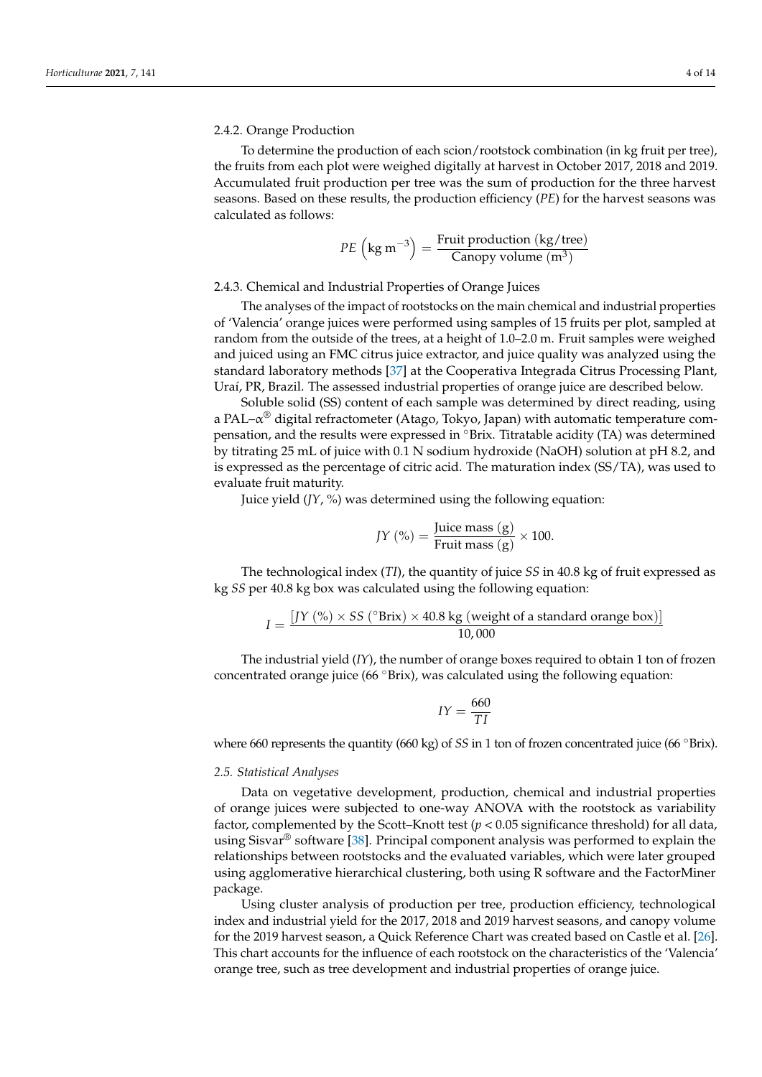## 2.4.2. Orange Production

To determine the production of each scion/rootstock combination (in kg fruit per tree), the fruits from each plot were weighed digitally at harvest in October 2017, 2018 and 2019. Accumulated fruit production per tree was the sum of production for the three harvest seasons. Based on these results, the production efficiency (*PE*) for the harvest seasons was calculated as follows:

$$
PE\left(\text{kg m}^{-3}\right) = \frac{\text{Fruit production (kg/tree)}}{\text{Canopy volume (m}^3)}
$$

## 2.4.3. Chemical and Industrial Properties of Orange Juices

The analyses of the impact of rootstocks on the main chemical and industrial properties of 'Valencia' orange juices were performed using samples of 15 fruits per plot, sampled at random from the outside of the trees, at a height of 1.0–2.0 m. Fruit samples were weighed and juiced using an FMC citrus juice extractor, and juice quality was analyzed using the standard laboratory methods [\[37\]](#page-13-8) at the Cooperativa Integrada Citrus Processing Plant, Uraí, PR, Brazil. The assessed industrial properties of orange juice are described below.

Soluble solid (SS) content of each sample was determined by direct reading, using a PAL– $\alpha^{\circledast}$  digital refractometer (Atago, Tokyo, Japan) with automatic temperature compensation, and the results were expressed in °Brix. Titratable acidity (TA) was determined by titrating 25 mL of juice with 0.1 N sodium hydroxide (NaOH) solution at pH 8.2, and is expressed as the percentage of citric acid. The maturation index (SS/TA), was used to evaluate fruit maturity.

Juice yield (*JY*, %) was determined using the following equation:

$$
JY\left(\% \right) = \frac{\text{Juice mass (g)}}{\text{Fruit mass (g)}} \times 100.
$$

The technological index (*TI*), the quantity of juice *SS* in 40.8 kg of fruit expressed as kg *SS* per 40.8 kg box was calculated using the following equation:

$$
I = \frac{[JY (%) \times SS (^oBrix) \times 40.8 \text{ kg} (weight of a standard orange box)]}{10,000}
$$

The industrial yield (*IY*), the number of orange boxes required to obtain 1 ton of frozen concentrated orange juice (66 ◦Brix), was calculated using the following equation:

$$
IY = \frac{660}{TI}
$$

where 660 represents the quantity (660 kg) of *SS* in 1 ton of frozen concentrated juice (66 °Brix).

#### *2.5. Statistical Analyses*

Data on vegetative development, production, chemical and industrial properties of orange juices were subjected to one-way ANOVA with the rootstock as variability factor, complemented by the Scott–Knott test  $(p < 0.05$  significance threshold) for all data, using Sisvar<sup>®</sup> software [\[38\]](#page-13-9). Principal component analysis was performed to explain the relationships between rootstocks and the evaluated variables, which were later grouped using agglomerative hierarchical clustering, both using R software and the FactorMiner package.

Using cluster analysis of production per tree, production efficiency, technological index and industrial yield for the 2017, 2018 and 2019 harvest seasons, and canopy volume for the 2019 harvest season, a Quick Reference Chart was created based on Castle et al. [\[26\]](#page-13-1). This chart accounts for the influence of each rootstock on the characteristics of the 'Valencia' orange tree, such as tree development and industrial properties of orange juice.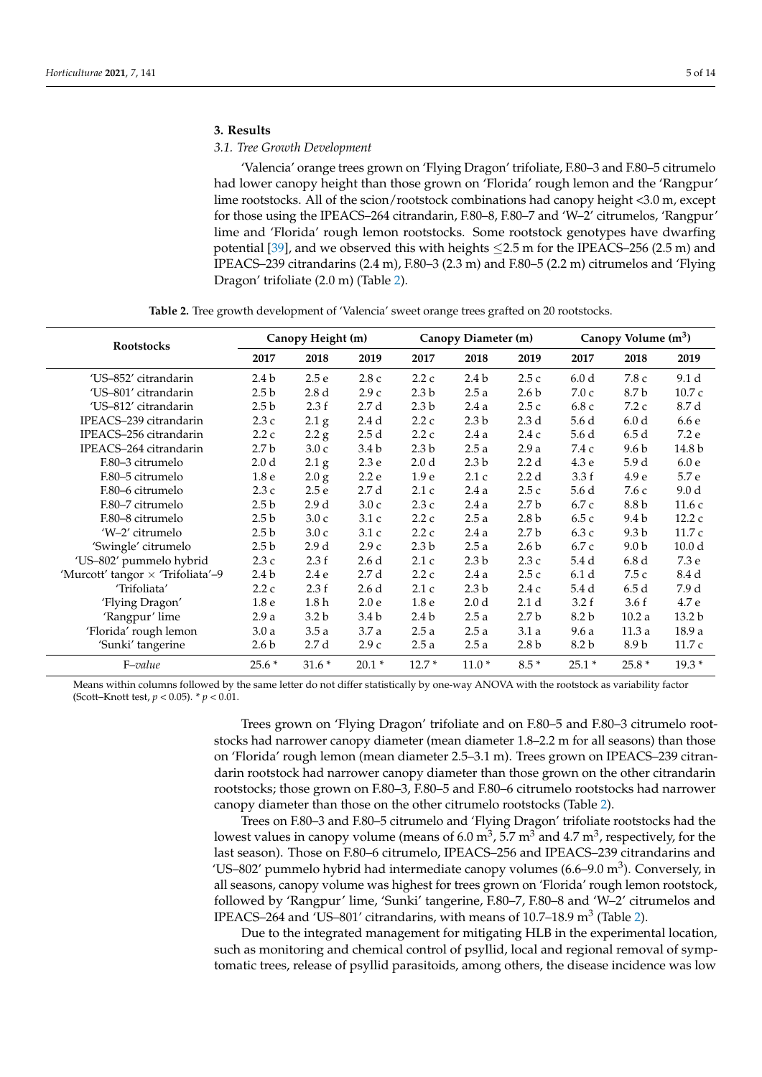## **3. Results**

## *3.1. Tree Growth Development*

'Valencia' orange trees grown on 'Flying Dragon' trifoliate, F.80–3 and F.80–5 citrumelo had lower canopy height than those grown on 'Florida' rough lemon and the 'Rangpur' lime rootstocks. All of the scion/rootstock combinations had canopy height <3.0 m, except for those using the IPEACS–264 citrandarin, F.80–8, F.80–7 and 'W–2' citrumelos, 'Rangpur' lime and 'Florida' rough lemon rootstocks. Some rootstock genotypes have dwarfing potential [\[39\]](#page-13-10), and we observed this with heights  $\leq$ 2.5 m for the IPEACS–256 (2.5 m) and IPEACS–239 citrandarins (2.4 m), F.80–3 (2.3 m) and F.80–5 (2.2 m) citrumelos and 'Flying Dragon' trifoliate (2.0 m) (Table [2\)](#page-4-0).

**Table 2.** Tree growth development of 'Valencia' sweet orange trees grafted on 20 rootstocks.

<span id="page-4-0"></span>

| <b>Rootstocks</b>                 | Canopy Height (m) |                  |                  |                  | Canopy Diameter (m) |                  | Canopy Volume (m <sup>3</sup> ) |                  |                   |
|-----------------------------------|-------------------|------------------|------------------|------------------|---------------------|------------------|---------------------------------|------------------|-------------------|
|                                   | 2017              | 2018             | 2019             | 2017             | 2018                | 2019             | 2017                            | 2018             | 2019              |
| 'US-852' citrandarin              | 2.4 <sub>b</sub>  | 2.5e             | 2.8c             | 2.2c             | 2.4 b               | 2.5c             | 6.0 <sub>d</sub>                | 7.8 c            | 9.1 d             |
| 'US-801' citrandarin              | 2.5 <sub>b</sub>  | 2.8 <sub>d</sub> | 2.9c             | 2.3 <sub>b</sub> | 2.5a                | 2.6 <sub>b</sub> | 7.0c                            | 8.7 b            | 10.7c             |
| 'US-812' citrandarin              | 2.5 <sub>b</sub>  | 2.3 f            | 2.7d             | 2.3 <sub>b</sub> | 2.4a                | 2.5c             | 6.8 c                           | 7.2c             | 8.7 d             |
| IPEACS-239 citrandarin            | 2.3c              | 2.1 <sub>g</sub> | 2.4 d            | 2.2c             | 2.3 <sub>b</sub>    | 2.3 <sub>d</sub> | 5.6 d                           | 6.0 <sub>d</sub> | 6.6 e             |
| IPEACS-256 citrandarin            | 2.2c              | 2.2 g            | 2.5d             | 2.2c             | 2.4a                | 2.4c             | 5.6 d                           | 6.5d             | 7.2 e             |
| IPEACS-264 citrandarin            | 2.7 <sub>b</sub>  | 3.0c             | 3.4 <sub>b</sub> | 2.3 <sub>b</sub> | 2.5a                | 2.9a             | 7.4 c                           | 9.6 <sub>b</sub> | 14.8 b            |
| F.80-3 citrumelo                  | 2.0 <sub>d</sub>  | $2.1\text{ g}$   | 2.3e             | 2.0 <sub>d</sub> | 2.3 <sub>b</sub>    | 2.2d             | 4.3e                            | 5.9d             | 6.0e              |
| F.80-5 citrumelo                  | 1.8 <sub>e</sub>  | 2.0 g            | 2.2e             | 1.9 <sub>e</sub> | 2.1c                | 2.2d             | 3.3f                            | 4.9 <sub>e</sub> | 5.7 e             |
| F.80–6 citrumelo                  | 2.3c              | 2.5e             | 2.7d             | 2.1c             | 2.4a                | 2.5c             | 5.6 d                           | 7.6c             | 9.0 <sub>d</sub>  |
| F.80-7 citrumelo                  | 2.5 <sub>b</sub>  | 2.9d             | 3.0c             | 2.3c             | 2.4a                | 2.7 <sub>b</sub> | 6.7c                            | 8.8 b            | 11.6c             |
| F.80-8 citrumelo                  | 2.5 <sub>b</sub>  | 3.0c             | 3.1c             | 2.2c             | 2.5a                | 2.8 <sub>b</sub> | 6.5c                            | 9.4 b            | 12.2c             |
| 'W-2' citrumelo                   | 2.5 <sub>b</sub>  | 3.0c             | 3.1c             | 2.2c             | 2.4a                | 2.7 <sub>b</sub> | 6.3 c                           | 9.3 <sub>b</sub> | 11.7c             |
| 'Swingle' citrumelo               | 2.5 <sub>b</sub>  | 2.9d             | 2.9c             | 2.3 <sub>b</sub> | 2.5a                | 2.6 <sub>b</sub> | 6.7 c                           | 9.0 <sub>b</sub> | 10.0 <sub>d</sub> |
| 'US-802' pummelo hybrid           | 2.3c              | 2.3 f            | 2.6d             | 2.1c             | 2.3 <sub>b</sub>    | 2.3c             | 5.4d                            | 6.8d             | 7.3 e             |
| 'Murcott' tangor × 'Trifoliata'-9 | 2.4 <sub>b</sub>  | 2.4e             | 2.7d             | 2.2c             | 2.4a                | 2.5c             | 6.1 <sub>d</sub>                | 7.5 c            | 8.4 d             |
| 'Trifoliata'                      | 2.2c              | 2.3 f            | 2.6d             | 2.1c             | 2.3 <sub>b</sub>    | 2.4c             | 5.4 d                           | 6.5d             | 7.9 d             |
| 'Flying Dragon'                   | 1.8 <sub>e</sub>  | 1.8h             | 2.0 <sub>e</sub> | 1.8 <sub>e</sub> | 2.0 <sub>d</sub>    | 2.1 <sub>d</sub> | 3.2 f                           | 3.6f             | 4.7 e             |
| 'Rangpur' lime                    | 2.9a              | 3.2 <sub>b</sub> | 3.4 <sub>b</sub> | 2.4 <sub>b</sub> | 2.5a                | 2.7 <sub>b</sub> | 8.2 b                           | 10.2a            | 13.2 <sub>b</sub> |
| 'Florida' rough lemon             | 3.0a              | 3.5a             | 3.7a             | 2.5a             | 2.5a                | 3.1a             | 9.6a                            | 11.3a            | 18.9 a            |
| 'Sunki' tangerine                 | 2.6 <sub>b</sub>  | 2.7d             | 2.9c             | 2.5a             | 2.5a                | 2.8 <sub>b</sub> | 8.2 b                           | 8.9 b            | 11.7 c            |
| F-value                           | $25.6*$           | $31.6*$          | $20.1*$          | $12.7*$          | $11.0*$             | $8.5*$           | $25.1*$                         | $25.8*$          | $19.3*$           |

Means within columns followed by the same letter do not differ statistically by one-way ANOVA with the rootstock as variability factor (Scott–Knott test, *p* < 0.05). \* *p* < 0.01.

> Trees grown on 'Flying Dragon' trifoliate and on F.80–5 and F.80–3 citrumelo rootstocks had narrower canopy diameter (mean diameter 1.8–2.2 m for all seasons) than those on 'Florida' rough lemon (mean diameter 2.5–3.1 m). Trees grown on IPEACS–239 citrandarin rootstock had narrower canopy diameter than those grown on the other citrandarin rootstocks; those grown on F.80–3, F.80–5 and F.80–6 citrumelo rootstocks had narrower canopy diameter than those on the other citrumelo rootstocks (Table [2\)](#page-4-0).

> Trees on F.80–3 and F.80–5 citrumelo and 'Flying Dragon' trifoliate rootstocks had the lowest values in canopy volume (means of 6.0  $\mathrm{m}^3$ , 5.7  $\mathrm{m}^3$  and 4.7  $\mathrm{m}^3$ , respectively, for the last season). Those on F.80–6 citrumelo, IPEACS–256 and IPEACS–239 citrandarins and 'US-802' pummelo hybrid had intermediate canopy volumes  $(6.6-9.0 \text{ m}^3)$ . Conversely, in all seasons, canopy volume was highest for trees grown on 'Florida' rough lemon rootstock, followed by 'Rangpur' lime, 'Sunki' tangerine, F.80–7, F.80–8 and 'W–2' citrumelos and IPEACS–264 and 'US–801' citrandarins, with means of 10.7–18.9  $m^3$  (Table [2\)](#page-4-0).

> Due to the integrated management for mitigating HLB in the experimental location, such as monitoring and chemical control of psyllid, local and regional removal of symptomatic trees, release of psyllid parasitoids, among others, the disease incidence was low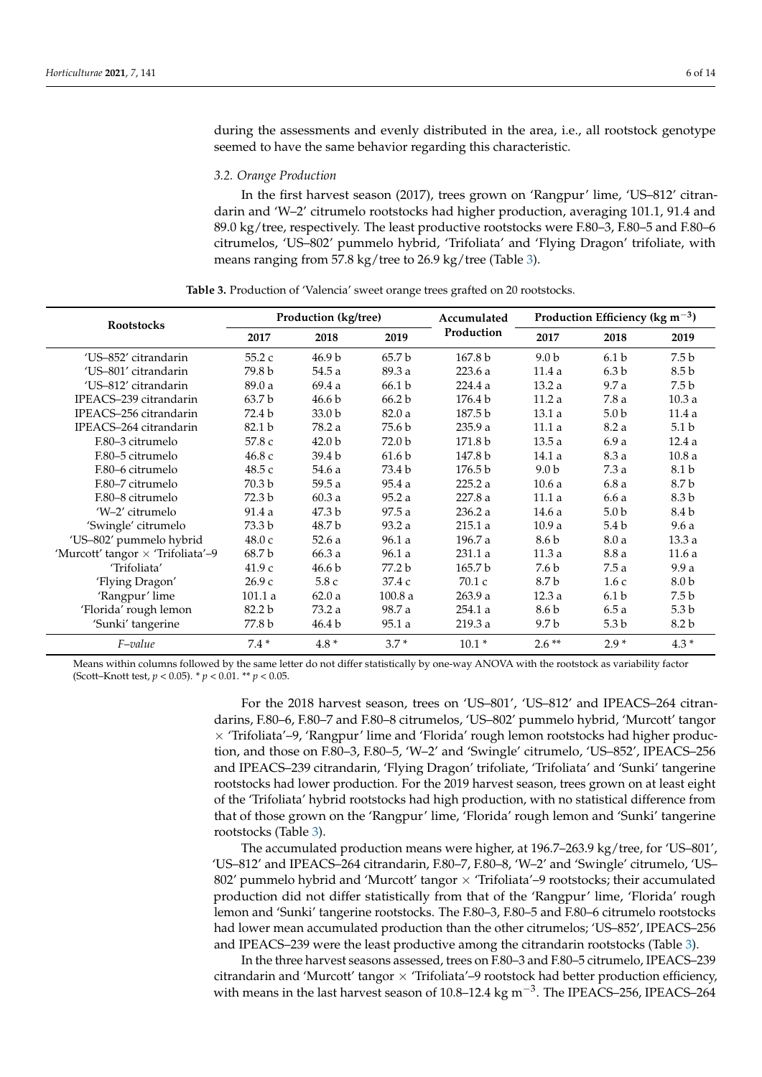during the assessments and evenly distributed in the area, i.e., all rootstock genotype seemed to have the same behavior regarding this characteristic.

#### *3.2. Orange Production*

In the first harvest season (2017), trees grown on 'Rangpur' lime, 'US–812' citrandarin and 'W–2' citrumelo rootstocks had higher production, averaging 101.1, 91.4 and 89.0 kg/tree, respectively. The least productive rootstocks were F.80–3, F.80–5 and F.80–6 citrumelos, 'US–802' pummelo hybrid, 'Trifoliata' and 'Flying Dragon' trifoliate, with means ranging from 57.8 kg/tree to 26.9 kg/tree (Table [3\)](#page-5-0).

<span id="page-5-0"></span>

| <b>Rootstocks</b>                 |                   | Production (kg/tree) |                   | Accumulated        | Production Efficiency ( $\text{kg m}^{-3}$ ) |                  |                  |  |
|-----------------------------------|-------------------|----------------------|-------------------|--------------------|----------------------------------------------|------------------|------------------|--|
|                                   | 2017              | 2018                 | 2019              | Production         | 2017                                         | 2018             | 2019             |  |
| 'US-852' citrandarin              | 55.2 c            | 46.9 b               | 65.7 b            | 167.8 <sub>b</sub> | 9.0 <sub>b</sub>                             | 6.1 <sub>b</sub> | 7.5 b            |  |
| 'US-801' citrandarin              | 79.8 b            | 54.5 a               | 89.3 a            | 223.6 a            | 11.4a                                        | 6.3 <sub>b</sub> | 8.5 b            |  |
| 'US-812' citrandarin              | 89.0 a            | 69.4a                | 66.1 <sub>b</sub> | 224.4a             | 13.2a                                        | 9.7a             | 7.5 b            |  |
| IPEACS-239 citrandarin            | 63.7 <sub>b</sub> | 46.6 <sub>b</sub>    | 66.2 b            | 176.4 b            | 11.2a                                        | 7.8a             | 10.3a            |  |
| IPEACS-256 citrandarin            | 72.4 b            | 33.0 <sub>b</sub>    | 82.0a             | 187.5 b            | 13.1a                                        | 5.0 <sub>b</sub> | 11.4a            |  |
| IPEACS-264 citrandarin            | 82.1 b            | 78.2 a               | 75.6 b            | 235.9 a            | 11.1a                                        | 8.2 a            | 5.1 <sub>b</sub> |  |
| F.80-3 citrumelo                  | 57.8 c            | 42.0 <sub>b</sub>    | 72.0 b            | 171.8 b            | 13.5a                                        | 6.9a             | 12.4a            |  |
| F.80-5 citrumelo                  | 46.8 c            | 39.4 b               | 61.6 <sub>b</sub> | 147.8 b            | 14.1 a                                       | 8.3 a            | 10.8a            |  |
| F.80–6 citrumelo                  | 48.5 c            | 54.6 a               | 73.4 b            | 176.5 <sub>b</sub> | 9.0 <sub>b</sub>                             | 7.3a             | 8.1 b            |  |
| F.80-7 citrumelo                  | 70.3 b            | 59.5a                | 95.4 a            | 225.2a             | 10.6a                                        | 6.8a             | 8.7 b            |  |
| F.80-8 citrumelo                  | 72.3 b            | 60.3a                | 95.2a             | 227.8 a            | 11.1a                                        | 6.6a             | 8.3 b            |  |
| 'W-2' citrumelo                   | 91.4 a            | 47.3 b               | 97.5a             | 236.2 a            | 14.6 a                                       | 5.0 <sub>b</sub> | 8.4 b            |  |
| 'Swingle' citrumelo               | 73.3 b            | 48.7 b               | 93.2 a            | 215.1 a            | 10.9a                                        | 5.4 <sub>b</sub> | 9.6a             |  |
| 'US-802' pummelo hybrid           | 48.0c             | 52.6a                | 96.1 a            | 196.7 a            | 8.6 b                                        | 8.0a             | 13.3a            |  |
| 'Murcott' tangor × 'Trifoliata'-9 | 68.7 b            | 66.3 a               | 96.1 a            | 231.1 a            | 11.3a                                        | 8.8 a            | 11.6a            |  |
| 'Trifoliata'                      | 41.9c             | 46.6 <sub>b</sub>    | 77.2 b            | 165.7b             | 7.6 b                                        | 7.5a             | 9.9a             |  |
| 'Flying Dragon'                   | 26.9c             | 5.8c                 | 37.4 c            | 70.1c              | 8.7 b                                        | 1.6c             | 8.0 b            |  |
| 'Rangpur' lime                    | 101.1 a           | 62.0a                | 100.8a            | 263.9 a            | 12.3a                                        | 6.1 <sub>b</sub> | 7.5 b            |  |
| 'Florida' rough lemon             | 82.2 b            | 73.2 a               | 98.7 a            | 254.1 a            | 8.6 b                                        | 6.5a             | 5.3 b            |  |
| 'Sunki' tangerine                 | 77.8 b            | 46.4 b               | 95.1 a            | 219.3a             | 9.7 b                                        | 5.3 <sub>b</sub> | 8.2 b            |  |
| F-value                           | $7.4*$            | $4.8*$               | $3.7*$            | $10.1*$            | $2.6**$                                      | $2.9*$           | $4.3*$           |  |

**Table 3.** Production of 'Valencia' sweet orange trees grafted on 20 rootstocks.

Means within columns followed by the same letter do not differ statistically by one-way ANOVA with the rootstock as variability factor (Scott–Knott test, *p* < 0.05). \* *p* < 0.01. \*\* *p* < 0.05.

> For the 2018 harvest season, trees on 'US–801', 'US–812' and IPEACS–264 citrandarins, F.80–6, F.80–7 and F.80–8 citrumelos, 'US–802' pummelo hybrid, 'Murcott' tangor  $\times$  'Trifoliata'–9, 'Rangpur' lime and 'Florida' rough lemon rootstocks had higher production, and those on F.80–3, F.80–5, 'W–2' and 'Swingle' citrumelo, 'US–852', IPEACS–256 and IPEACS–239 citrandarin, 'Flying Dragon' trifoliate, 'Trifoliata' and 'Sunki' tangerine rootstocks had lower production. For the 2019 harvest season, trees grown on at least eight of the 'Trifoliata' hybrid rootstocks had high production, with no statistical difference from that of those grown on the 'Rangpur' lime, 'Florida' rough lemon and 'Sunki' tangerine rootstocks (Table [3\)](#page-5-0).

> The accumulated production means were higher, at 196.7–263.9 kg/tree, for 'US–801', 'US–812' and IPEACS–264 citrandarin, F.80–7, F.80–8, 'W–2' and 'Swingle' citrumelo, 'US– 802' pummelo hybrid and 'Murcott' tangor  $\times$  'Trifoliata'–9 rootstocks; their accumulated production did not differ statistically from that of the 'Rangpur' lime, 'Florida' rough lemon and 'Sunki' tangerine rootstocks. The F.80–3, F.80–5 and F.80–6 citrumelo rootstocks had lower mean accumulated production than the other citrumelos; 'US–852', IPEACS–256 and IPEACS–239 were the least productive among the citrandarin rootstocks (Table [3\)](#page-5-0).

> In the three harvest seasons assessed, trees on F.80–3 and F.80–5 citrumelo, IPEACS–239 citrandarin and 'Murcott' tangor  $\times$  'Trifoliata'–9 rootstock had better production efficiency, with means in the last harvest season of 10.8–12.4 kg m<sup>-3</sup>. The IPEACS–256, IPEACS–264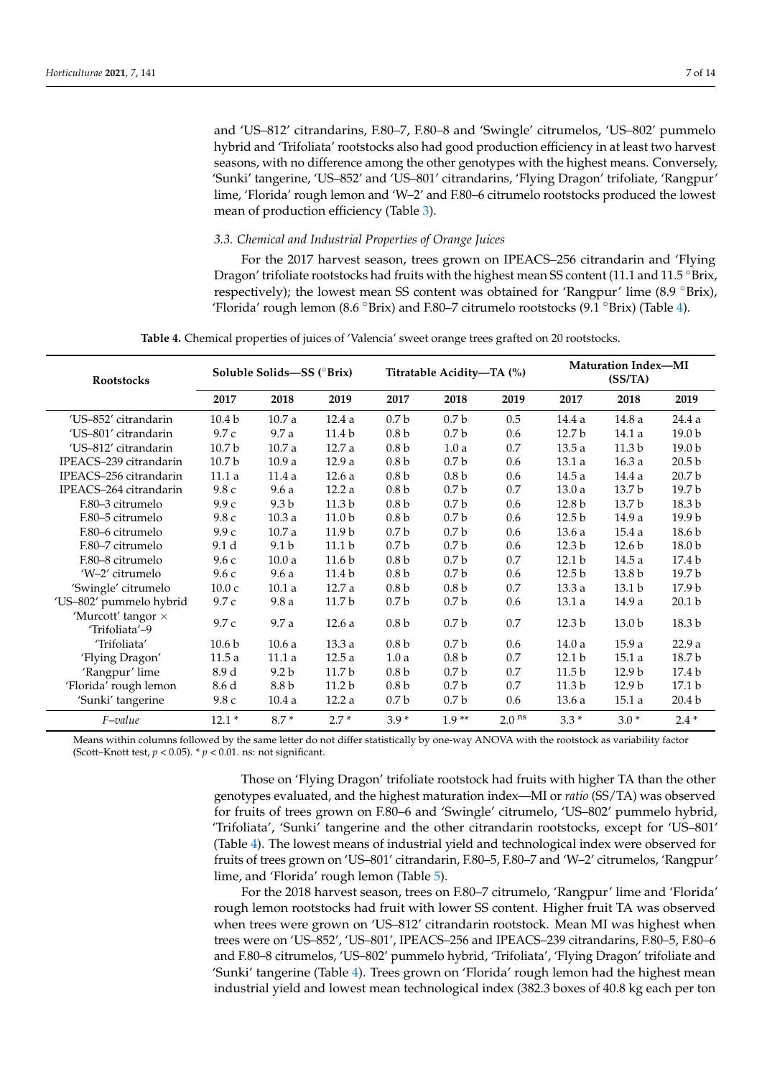and 'US–812' citrandarins, F.80–7, F.80–8 and 'Swingle' citrumelos, 'US–802' pummelo hybrid and 'Trifoliata' rootstocks also had good production efficiency in at least two harvest seasons, with no difference among the other genotypes with the highest means. Conversely, 'Sunki' tangerine, 'US–852' and 'US–801' citrandarins, 'Flying Dragon' trifoliate, 'Rangpur' lime, 'Florida' rough lemon and 'W–2' and F.80–6 citrumelo rootstocks produced the lowest mean of production efficiency (Table [3\)](#page-5-0).

## *3.3. Chemical and Industrial Properties of Orange Juices*

For the 2017 harvest season, trees grown on IPEACS–256 citrandarin and 'Flying Dragon' trifoliate rootstocks had fruits with the highest mean SS content (11.1 and 11.5 °Brix, respectively); the lowest mean SS content was obtained for 'Rangpur' lime (8.9 °Brix), 'Florida' rough lemon (8.6 °Brix) and F.80–7 citrumelo rootstocks (9.1 °Brix) (Table [4\)](#page-6-0).

**Table 4.** Chemical properties of juices of 'Valencia' sweet orange trees grafted on 20 rootstocks.

<span id="page-6-0"></span>

| <b>Rootstocks</b>                    | Soluble Solids-SS (°Brix) |                  |                   |                  | Titratable Acidity-TA (%) |                   | <b>Maturation Index-MI</b><br>(SS/TA) |                   |                   |
|--------------------------------------|---------------------------|------------------|-------------------|------------------|---------------------------|-------------------|---------------------------------------|-------------------|-------------------|
|                                      | 2017                      | 2018             | 2019              | 2017             | 2018                      | 2019              | 2017                                  | 2018              | 2019              |
| 'US-852' citrandarin                 | 10.4 <sub>b</sub>         | 10.7a            | 12.4a             | 0.7 <sub>b</sub> | 0.7 <sub>b</sub>          | 0.5               | 14.4 a                                | 14.8 a            | 24.4 a            |
| 'US-801' citrandarin                 | 9.7c                      | 9.7 a            | 11.4 <sub>b</sub> | 0.8 <sub>b</sub> | 0.7 <sub>b</sub>          | 0.6               | 12.7 b                                | 14.1 a            | 19.0 b            |
| 'US-812' citrandarin                 | 10.7 <sub>b</sub>         | 10.7a            | 12.7 a            | 0.8 <sub>b</sub> | 1.0a                      | $0.7\,$           | 13.5a                                 | 11.3 <sub>b</sub> | 19.0 b            |
| IPEACS-239 citrandarin               | 10.7 <sub>b</sub>         | 10.9a            | 12.9a             | 0.8 <sub>b</sub> | 0.7 <sub>b</sub>          | 0.6               | 13.1a                                 | 16.3a             | 20.5 <sub>b</sub> |
| IPEACS-256 citrandarin               | 11.1 a                    | 11.4a            | 12.6a             | 0.8 <sub>b</sub> | 0.8 <sub>b</sub>          | 0.6               | 14.5a                                 | 14.4 a            | 20.7 <sub>b</sub> |
| IPEACS-264 citrandarin               | 9.8c                      | 9.6a             | 12.2a             | 0.8 <sub>b</sub> | 0.7 <sub>b</sub>          | 0.7               | 13.0a                                 | 13.7 <sub>b</sub> | 19.7 <sub>b</sub> |
| F.80-3 citrumelo                     | 9.9c                      | 9.3 <sub>b</sub> | 11.3 <sub>b</sub> | 0.8 <sub>b</sub> | 0.7 <sub>b</sub>          | 0.6               | 12.8 b                                | 13.7 b            | 18.3 b            |
| F.80-5 citrumelo                     | 9.8c                      | 10.3a            | 11.0 <sub>b</sub> | 0.8 <sub>b</sub> | 0.7 <sub>b</sub>          | 0.6               | 12.5 <sub>b</sub>                     | 14.9 a            | 19.9 <sub>b</sub> |
| F.80-6 citrumelo                     | 9.9c                      | 10.7a            | 11.9 <sub>b</sub> | 0.7 <sub>b</sub> | 0.7 <sub>b</sub>          | 0.6               | 13.6a                                 | 15.4a             | 18.6 <sub>b</sub> |
| F.80-7 citrumelo                     | 9.1 <sub>d</sub>          | 9.1 <sub>b</sub> | 11.1 <sub>b</sub> | 0.7 <sub>b</sub> | 0.7 <sub>b</sub>          | 0.6               | 12.3 <sub>b</sub>                     | 12.6 <sub>b</sub> | 18.0 <sub>b</sub> |
| F.80-8 citrumelo                     | 9.6c                      | 10.0a            | 11.6 <sub>b</sub> | 0.8 <sub>b</sub> | 0.7 <sub>b</sub>          | 0.7               | 12.1 <sub>b</sub>                     | 14.5a             | 17.4 <sub>b</sub> |
| 'W-2' citrumelo                      | 9.6c                      | 9.6a             | 11.4 b            | 0.8 <sub>b</sub> | 0.7 <sub>b</sub>          | 0.6               | 12.5 <sub>b</sub>                     | 13.8 b            | 19.7 b            |
| 'Swingle' citrumelo                  | 10.0c                     | 10.1a            | 12.7a             | 0.8 <sub>b</sub> | 0.8 <sub>b</sub>          | 0.7               | 13.3a                                 | 13.1 <sub>b</sub> | 17.9 <sub>b</sub> |
| 'US-802' pummelo hybrid              | 9.7 c                     | 9.8a             | 11.7 b            | 0.7 <sub>b</sub> | 0.7 <sub>b</sub>          | 0.6               | 13.1a                                 | 14.9 a            | 20.1 <sub>b</sub> |
| 'Murcott' tangor ×<br>'Trifoliata'-9 | 9.7 c                     | 9.7 a            | 12.6a             | 0.8 <sub>b</sub> | 0.7 <sub>b</sub>          | 0.7               | 12.3 b                                | 13.0 <sub>b</sub> | 18.3 b            |
| 'Trifoliata'                         | 10.6 <sub>b</sub>         | 10.6a            | 13.3a             | 0.8 <sub>b</sub> | 0.7 <sub>b</sub>          | 0.6               | 14.0a                                 | 15.9a             | 22.9a             |
| 'Flying Dragon'                      | 11.5a                     | 11.1a            | 12.5a             | 1.0a             | 0.8 <sub>b</sub>          | 0.7               | 12.1 <sub>b</sub>                     | 15.1a             | 18.7 b            |
| 'Rangpur' lime                       | 8.9 d                     | 9.2 <sub>b</sub> | 11.7 <sub>b</sub> | 0.8 <sub>b</sub> | 0.7 <sub>b</sub>          | 0.7               | 11.5 <sub>b</sub>                     | 12.9 <sub>b</sub> | 17.4 b            |
| 'Florida' rough lemon                | 8.6 d                     | 8.8 b            | 11.2 <sub>b</sub> | 0.8 <sub>b</sub> | 0.7 <sub>b</sub>          | 0.7               | 11.3 <sub>b</sub>                     | 12.9 <sub>b</sub> | 17.1 b            |
| 'Sunki' tangerine                    | 9.8c                      | 10.4a            | 12.2a             | 0.7 <sub>b</sub> | 0.7 <sub>b</sub>          | 0.6               | 13.6a                                 | 15.1a             | 20.4 <sub>b</sub> |
| $F-value$                            | $12.1*$                   | $8.7*$           | $2.7*$            | $3.9*$           | $1.9**$                   | 2.0 <sup>ns</sup> | $3.3*$                                | $3.0*$            | $2.4*$            |

Means within columns followed by the same letter do not differ statistically by one-way ANOVA with the rootstock as variability factor (Scott–Knott test,  $p < 0.05$ ).  $\binom{*}{p} < 0.01$ . ns: not significant.

> Those on 'Flying Dragon' trifoliate rootstock had fruits with higher TA than the other genotypes evaluated, and the highest maturation index—MI or *ratio* (SS/TA) was observed for fruits of trees grown on F.80–6 and 'Swingle' citrumelo, 'US–802' pummelo hybrid, 'Trifoliata', 'Sunki' tangerine and the other citrandarin rootstocks, except for 'US–801' (Table [4\)](#page-6-0). The lowest means of industrial yield and technological index were observed for fruits of trees grown on 'US–801' citrandarin, F.80–5, F.80–7 and 'W–2' citrumelos, 'Rangpur' lime, and 'Florida' rough lemon (Table [5\)](#page-7-0).

> For the 2018 harvest season, trees on F.80–7 citrumelo, 'Rangpur' lime and 'Florida' rough lemon rootstocks had fruit with lower SS content. Higher fruit TA was observed when trees were grown on 'US–812' citrandarin rootstock. Mean MI was highest when trees were on 'US–852', 'US–801', IPEACS–256 and IPEACS–239 citrandarins, F.80–5, F.80–6 and F.80–8 citrumelos, 'US–802' pummelo hybrid, 'Trifoliata', 'Flying Dragon' trifoliate and 'Sunki' tangerine (Table [4\)](#page-6-0). Trees grown on 'Florida' rough lemon had the highest mean industrial yield and lowest mean technological index (382.3 boxes of 40.8 kg each per ton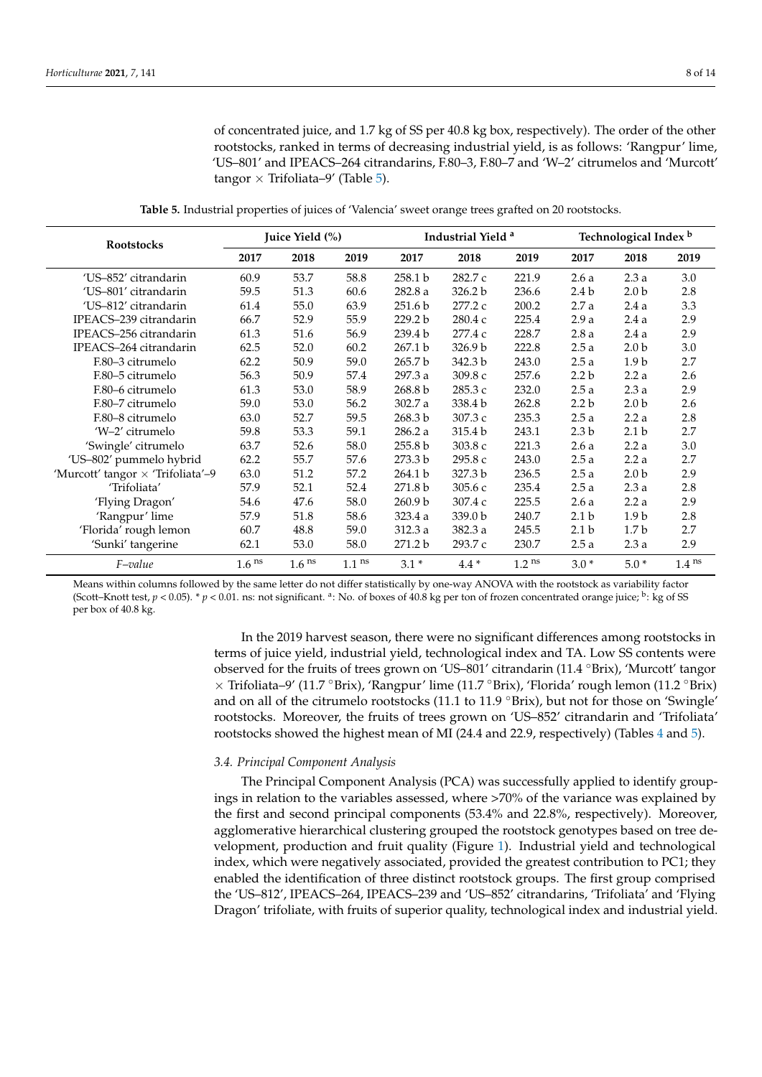of concentrated juice, and 1.7 kg of SS per 40.8 kg box, respectively). The order of the other rootstocks, ranked in terms of decreasing industrial yield, is as follows: 'Rangpur' lime, 'US–801' and IPEACS–264 citrandarins, F.80–3, F.80–7 and 'W–2' citrumelos and 'Murcott' tangor  $\times$  Trifoliata–9' (Table [5\)](#page-7-0).

**Table 5.** Industrial properties of juices of 'Valencia' sweet orange trees grafted on 20 rootstocks.

<span id="page-7-0"></span>

| <b>Rootstocks</b>                 | Juice Yield (%)   |                   |          |                    | Industrial Yield <sup>a</sup> |                   | Technological Index <sup>b</sup> |                  |          |  |
|-----------------------------------|-------------------|-------------------|----------|--------------------|-------------------------------|-------------------|----------------------------------|------------------|----------|--|
|                                   | 2017              | 2018              | 2019     | 2017               | 2018                          | 2019              | 2017                             | 2018             | 2019     |  |
| 'US-852' citrandarin              | 60.9              | 53.7              | 58.8     | 258.1 b            | 282.7 c                       | 221.9             | 2.6a                             | 2.3a             | 3.0      |  |
| 'US-801' citrandarin              | 59.5              | 51.3              | 60.6     | 282.8 a            | 326.2 b                       | 236.6             | 2.4 <sub>b</sub>                 | 2.0 <sub>b</sub> | 2.8      |  |
| 'US-812' citrandarin              | 61.4              | 55.0              | 63.9     | 251.6 <sub>b</sub> | 277.2 c                       | 200.2             | 2.7a                             | 2.4a             | 3.3      |  |
| IPEACS-239 citrandarin            | 66.7              | 52.9              | 55.9     | 229.2 b            | 280.4 c                       | 225.4             | 2.9a                             | 2.4a             | 2.9      |  |
| IPEACS-256 citrandarin            | 61.3              | 51.6              | 56.9     | 239.4 b            | 277.4 c                       | 228.7             | 2.8a                             | 2.4a             | 2.9      |  |
| IPEACS-264 citrandarin            | 62.5              | 52.0              | 60.2     | 267.1 b            | 326.9 b                       | 222.8             | 2.5a                             | 2.0 <sub>b</sub> | 3.0      |  |
| F.80-3 citrumelo                  | 62.2              | 50.9              | 59.0     | 265.7 b            | 342.3 b                       | 243.0             | 2.5a                             | 1.9 <sub>b</sub> | 2.7      |  |
| F.80-5 citrumelo                  | 56.3              | 50.9              | 57.4     | 297.3 a            | 309.8 с                       | 257.6             | 2.2 <sub>b</sub>                 | 2.2a             | 2.6      |  |
| F.80–6 citrumelo                  | 61.3              | 53.0              | 58.9     | 268.8 b            | 285.3 c                       | 232.0             | 2.5a                             | 2.3a             | 2.9      |  |
| F.80-7 citrumelo                  | 59.0              | 53.0              | 56.2     | 302.7 a            | 338.4 b                       | 262.8             | 2.2 <sub>b</sub>                 | 2.0 <sub>b</sub> | 2.6      |  |
| F.80-8 citrumelo                  | 63.0              | 52.7              | 59.5     | 268.3 b            | 307.3 с                       | 235.3             | 2.5a                             | 2.2a             | 2.8      |  |
| 'W-2' citrumelo                   | 59.8              | 53.3              | 59.1     | 286.2 a            | 315.4 b                       | 243.1             | 2.3 <sub>b</sub>                 | 2.1 <sub>b</sub> | 2.7      |  |
| 'Swingle' citrumelo               | 63.7              | 52.6              | 58.0     | 255.8 <sub>b</sub> | 303.8 c                       | 221.3             | 2.6a                             | 2.2a             | 3.0      |  |
| 'US-802' pummelo hybrid           | 62.2              | 55.7              | 57.6     | 273.3 b            | 295.8 с                       | 243.0             | 2.5a                             | 2.2a             | 2.7      |  |
| 'Murcott' tangor × 'Trifoliata'-9 | 63.0              | 51.2              | 57.2     | 264.1 b            | 327.3 b                       | 236.5             | 2.5a                             | 2.0 <sub>b</sub> | 2.9      |  |
| 'Trifoliata'                      | 57.9              | 52.1              | 52.4     | 271.8 b            | 305.6 с                       | 235.4             | 2.5a                             | 2.3a             | 2.8      |  |
| 'Flying Dragon'                   | 54.6              | 47.6              | 58.0     | 260.9 b            | 307.4 c                       | 225.5             | 2.6a                             | 2.2a             | 2.9      |  |
| 'Rangpur' lime                    | 57.9              | 51.8              | 58.6     | 323.4 a            | 339.0 b                       | 240.7             | 2.1 <sub>b</sub>                 | 1.9 <sub>b</sub> | 2.8      |  |
| 'Florida' rough lemon             | 60.7              | 48.8              | 59.0     | 312.3 a            | 382.3 a                       | 245.5             | 2.1 <sub>b</sub>                 | 1.7 <sub>b</sub> | 2.7      |  |
| 'Sunki' tangerine                 | 62.1              | 53.0              | 58.0     | 271.2 b            | 293.7 c                       | 230.7             | 2.5a                             | 2.3a             | 2.9      |  |
| F-value                           | 1.6 <sup>ns</sup> | 1.6 <sup>ns</sup> | $1.1$ ns | $3.1*$             | $4.4 *$                       | 1.2 <sup>ns</sup> | $3.0*$                           | $5.0*$           | $1.4$ ns |  |

Means within columns followed by the same letter do not differ statistically by one-way ANOVA with the rootstock as variability factor (Scott–Knott test,  $p < 0.05$ ). \*  $p < 0.01$ . ns: not significant. <sup>a</sup>: No. of boxes of 40.8 kg per ton of frozen concentrated orange juice; <sup>b</sup>: kg of SS per box of 40.8 kg.

> In the 2019 harvest season, there were no significant differences among rootstocks in terms of juice yield, industrial yield, technological index and TA. Low SS contents were observed for the fruits of trees grown on 'US–801' citrandarin (11.4 ◦Brix), 'Murcott' tangor  $\times$  Trifoliata–9' (11.7 °Brix), 'Rangpur' lime (11.7 °Brix), 'Florida' rough lemon (11.2 °Brix) and on all of the citrumelo rootstocks (11.1 to 11.9 °Brix), but not for those on 'Swingle' rootstocks. Moreover, the fruits of trees grown on 'US–852' citrandarin and 'Trifoliata' rootstocks showed the highest mean of MI (24.4 and 22.9, respectively) (Tables [4](#page-6-0) and [5\)](#page-7-0).

## *3.4. Principal Component Analysis*

The Principal Component Analysis (PCA) was successfully applied to identify groupings in relation to the variables assessed, where >70% of the variance was explained by the first and second principal components (53.4% and 22.8%, respectively). Moreover, agglomerative hierarchical clustering grouped the rootstock genotypes based on tree development, production and fruit quality (Figure [1\)](#page-8-0). Industrial yield and technological index, which were negatively associated, provided the greatest contribution to PC1; they enabled the identification of three distinct rootstock groups. The first group comprised the 'US–812', IPEACS–264, IPEACS–239 and 'US–852' citrandarins, 'Trifoliata' and 'Flying Dragon' trifoliate, with fruits of superior quality, technological index and industrial yield.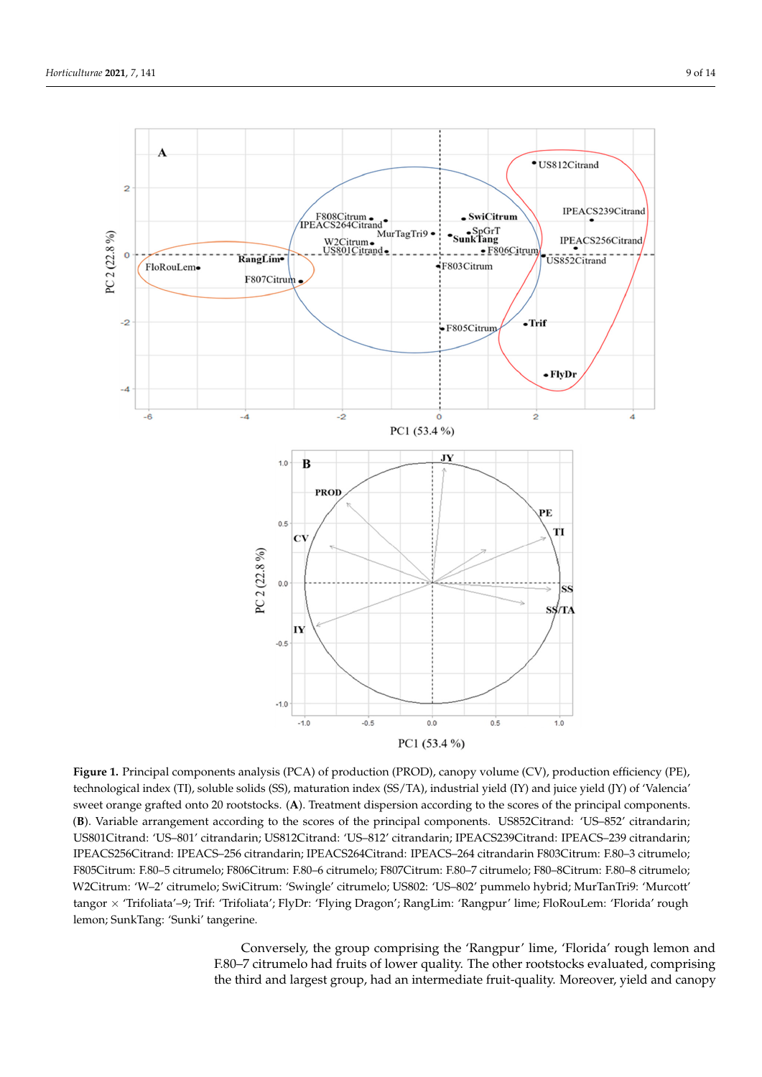<span id="page-8-0"></span>

**Figure 1.** Principal components analysis (PCA) of production (PROD), canopy volume (CV), production efficiency (PE), technological index (TI), soluble solids (SS), maturation index (SS/TA), industrial yield (IY) and juice yield (JY) of 'Valencia' sweet orange graned onto 20 rootstocks. (A). Treatment dispersion according to the scores of the principal components.<br>(B). Variable arrangement according to the scores of the principal components. US852Citrand: 'US-852' c Treatment dispersion according to the scores of the principal components. (**B**). Variable arrange-US801Citrand: 'US–801' citrandarin; US812Citrand: 'US–812' citrandarin; IPEACS239Citrand: IPEACS–239 citrandarin; ment according to the scores of the principal components. US852Citrand: 'US–852' citrandarin; IPEACS256Citrand: IPEACS–256 citrandarin; IPEACS264Citrand: IPEACS–264 citrandarin F803Citrum: F.80–3 citrumelo; US801Citrand: 'US–801' citrandarin; US812Citrand: 'US–812' citrandarin; IPEACS239Citrand: F805Citrum: F.80–5 citrumelo; F806Citrum: F.80–6 citrumelo; F807Citrum: F.80–7 citrumelo; F80–8Citrum: F.80–8 citrumelo; W2Citrum: 'W–2' citrumelo; SwiCitrum: 'Swingle' citrumelo; US802: 'US–802' pummelo hybrid; MurTanTri9: 'Murcott' tangor × 'Trifoliata'–9; Trif: 'Trifoliata'; FlyDr: 'Flying Dragon'; RangLim: 'Rangpur' lime; FloRouLem: 'Florida' rough lemon; SunkTang: 'Sunki' tangerine. sweet orange grafted onto 20 rootstocks. (**A**). Treatment dispersion according to the scores of the principal components.

citrum: 'Swingle' citrum: 'Swingle' citrum: 'Swingle' citrum: 'USB02: 'USA02: 'USA02: 'Ward-9: 'MurtanTri9: 'M<br>Swingle' citrum in the Swingle' pump local pump local pump local pump local pump local pump local pump local p Conversely, the group comprising the 'Rangpur' lime, 'Florida' rough lemon and F.80–7 citrumelo had fruits of lower quality. The other rootstocks evaluated, comprising the third and largest group, had an intermediate fruit-quality. Moreover, yield and canopy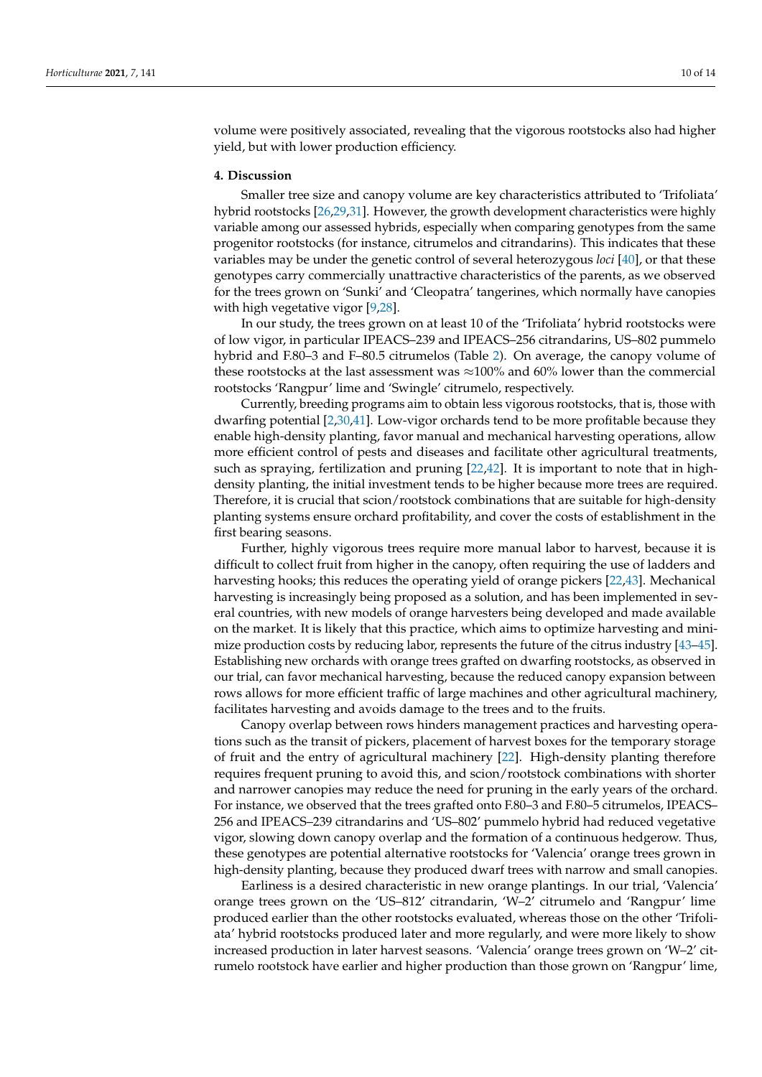volume were positively associated, revealing that the vigorous rootstocks also had higher yield, but with lower production efficiency.

## **4. Discussion**

Smaller tree size and canopy volume are key characteristics attributed to 'Trifoliata' hybrid rootstocks [\[26,](#page-13-1)[29,](#page-13-11)[31\]](#page-13-2). However, the growth development characteristics were highly variable among our assessed hybrids, especially when comparing genotypes from the same progenitor rootstocks (for instance, citrumelos and citrandarins). This indicates that these variables may be under the genetic control of several heterozygous *loci* [\[40\]](#page-13-12), or that these genotypes carry commercially unattractive characteristics of the parents, as we observed for the trees grown on 'Sunki' and 'Cleopatra' tangerines, which normally have canopies with high vegetative vigor [\[9](#page-12-18)[,28\]](#page-13-13).

In our study, the trees grown on at least 10 of the 'Trifoliata' hybrid rootstocks were of low vigor, in particular IPEACS–239 and IPEACS–256 citrandarins, US–802 pummelo hybrid and F.80–3 and F–80.5 citrumelos (Table [2\)](#page-4-0). On average, the canopy volume of these rootstocks at the last assessment was  $\approx$ 100% and 60% lower than the commercial rootstocks 'Rangpur' lime and 'Swingle' citrumelo, respectively.

Currently, breeding programs aim to obtain less vigorous rootstocks, that is, those with dwarfing potential [\[2,](#page-12-8)[30](#page-13-14)[,41\]](#page-13-15). Low-vigor orchards tend to be more profitable because they enable high-density planting, favor manual and mechanical harvesting operations, allow more efficient control of pests and diseases and facilitate other agricultural treatments, such as spraying, fertilization and pruning [\[22](#page-12-15)[,42\]](#page-13-16). It is important to note that in highdensity planting, the initial investment tends to be higher because more trees are required. Therefore, it is crucial that scion/rootstock combinations that are suitable for high-density planting systems ensure orchard profitability, and cover the costs of establishment in the first bearing seasons.

Further, highly vigorous trees require more manual labor to harvest, because it is difficult to collect fruit from higher in the canopy, often requiring the use of ladders and harvesting hooks; this reduces the operating yield of orange pickers [\[22](#page-12-15)[,43\]](#page-13-17). Mechanical harvesting is increasingly being proposed as a solution, and has been implemented in several countries, with new models of orange harvesters being developed and made available on the market. It is likely that this practice, which aims to optimize harvesting and minimize production costs by reducing labor, represents the future of the citrus industry [\[43](#page-13-17)[–45\]](#page-13-18). Establishing new orchards with orange trees grafted on dwarfing rootstocks, as observed in our trial, can favor mechanical harvesting, because the reduced canopy expansion between rows allows for more efficient traffic of large machines and other agricultural machinery, facilitates harvesting and avoids damage to the trees and to the fruits.

Canopy overlap between rows hinders management practices and harvesting operations such as the transit of pickers, placement of harvest boxes for the temporary storage of fruit and the entry of agricultural machinery [\[22\]](#page-12-15). High-density planting therefore requires frequent pruning to avoid this, and scion/rootstock combinations with shorter and narrower canopies may reduce the need for pruning in the early years of the orchard. For instance, we observed that the trees grafted onto F.80–3 and F.80–5 citrumelos, IPEACS– 256 and IPEACS–239 citrandarins and 'US–802' pummelo hybrid had reduced vegetative vigor, slowing down canopy overlap and the formation of a continuous hedgerow. Thus, these genotypes are potential alternative rootstocks for 'Valencia' orange trees grown in high-density planting, because they produced dwarf trees with narrow and small canopies.

Earliness is a desired characteristic in new orange plantings. In our trial, 'Valencia' orange trees grown on the 'US–812' citrandarin, 'W–2' citrumelo and 'Rangpur' lime produced earlier than the other rootstocks evaluated, whereas those on the other 'Trifoliata' hybrid rootstocks produced later and more regularly, and were more likely to show increased production in later harvest seasons. 'Valencia' orange trees grown on 'W–2' citrumelo rootstock have earlier and higher production than those grown on 'Rangpur' lime,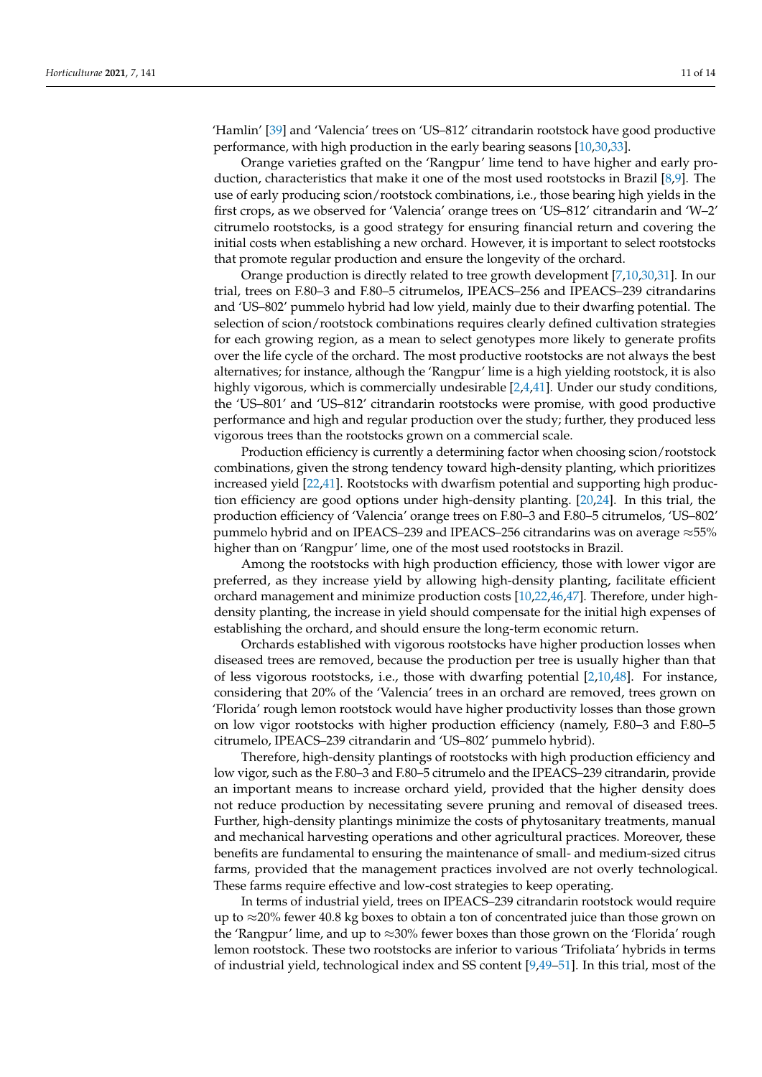'Hamlin' [\[39\]](#page-13-10) and 'Valencia' trees on 'US–812' citrandarin rootstock have good productive performance, with high production in the early bearing seasons [\[10](#page-12-16)[,30](#page-13-14)[,33\]](#page-13-4).

Orange varieties grafted on the 'Rangpur' lime tend to have higher and early production, characteristics that make it one of the most used rootstocks in Brazil [\[8](#page-12-4)[,9\]](#page-12-18). The use of early producing scion/rootstock combinations, i.e., those bearing high yields in the first crops, as we observed for 'Valencia' orange trees on 'US–812' citrandarin and 'W–2' citrumelo rootstocks, is a good strategy for ensuring financial return and covering the initial costs when establishing a new orchard. However, it is important to select rootstocks that promote regular production and ensure the longevity of the orchard.

Orange production is directly related to tree growth development [\[7](#page-12-3)[,10](#page-12-16)[,30](#page-13-14)[,31\]](#page-13-2). In our trial, trees on F.80–3 and F.80–5 citrumelos, IPEACS–256 and IPEACS–239 citrandarins and 'US–802' pummelo hybrid had low yield, mainly due to their dwarfing potential. The selection of scion/rootstock combinations requires clearly defined cultivation strategies for each growing region, as a mean to select genotypes more likely to generate profits over the life cycle of the orchard. The most productive rootstocks are not always the best alternatives; for instance, although the 'Rangpur' lime is a high yielding rootstock, it is also highly vigorous, which is commercially undesirable [\[2,](#page-12-8)[4](#page-12-1)[,41\]](#page-13-15). Under our study conditions, the 'US–801' and 'US–812' citrandarin rootstocks were promise, with good productive performance and high and regular production over the study; further, they produced less vigorous trees than the rootstocks grown on a commercial scale.

Production efficiency is currently a determining factor when choosing scion/rootstock combinations, given the strong tendency toward high-density planting, which prioritizes increased yield [\[22](#page-12-15)[,41\]](#page-13-15). Rootstocks with dwarfism potential and supporting high production efficiency are good options under high-density planting. [\[20,](#page-12-13)[24\]](#page-12-17). In this trial, the production efficiency of 'Valencia' orange trees on F.80–3 and F.80–5 citrumelos, 'US–802' pummelo hybrid and on IPEACS–239 and IPEACS–256 citrandarins was on average  $\approx$ 55% higher than on 'Rangpur' lime, one of the most used rootstocks in Brazil.

Among the rootstocks with high production efficiency, those with lower vigor are preferred, as they increase yield by allowing high-density planting, facilitate efficient orchard management and minimize production costs [\[10](#page-12-16)[,22](#page-12-15)[,46,](#page-13-19)[47\]](#page-13-20). Therefore, under highdensity planting, the increase in yield should compensate for the initial high expenses of establishing the orchard, and should ensure the long-term economic return.

Orchards established with vigorous rootstocks have higher production losses when diseased trees are removed, because the production per tree is usually higher than that of less vigorous rootstocks, i.e., those with dwarfing potential [\[2,](#page-12-8)[10,](#page-12-16)[48\]](#page-13-21). For instance, considering that 20% of the 'Valencia' trees in an orchard are removed, trees grown on 'Florida' rough lemon rootstock would have higher productivity losses than those grown on low vigor rootstocks with higher production efficiency (namely, F.80–3 and F.80–5 citrumelo, IPEACS–239 citrandarin and 'US–802' pummelo hybrid).

Therefore, high-density plantings of rootstocks with high production efficiency and low vigor, such as the F.80–3 and F.80–5 citrumelo and the IPEACS–239 citrandarin, provide an important means to increase orchard yield, provided that the higher density does not reduce production by necessitating severe pruning and removal of diseased trees. Further, high-density plantings minimize the costs of phytosanitary treatments, manual and mechanical harvesting operations and other agricultural practices. Moreover, these benefits are fundamental to ensuring the maintenance of small- and medium-sized citrus farms, provided that the management practices involved are not overly technological. These farms require effective and low-cost strategies to keep operating.

In terms of industrial yield, trees on IPEACS–239 citrandarin rootstock would require up to ≈20% fewer 40.8 kg boxes to obtain a ton of concentrated juice than those grown on the 'Rangpur' lime, and up to ≈30% fewer boxes than those grown on the 'Florida' rough lemon rootstock. These two rootstocks are inferior to various 'Trifoliata' hybrids in terms of industrial yield, technological index and SS content [\[9](#page-12-18)[,49](#page-13-22)[–51\]](#page-13-23). In this trial, most of the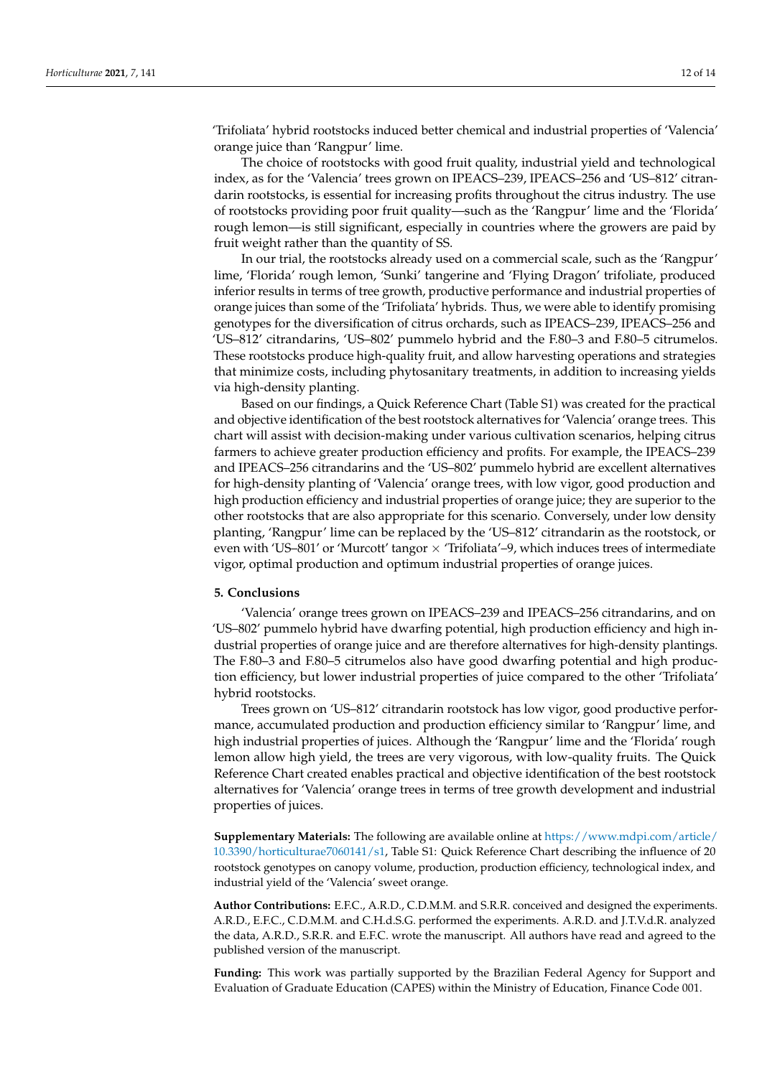'Trifoliata' hybrid rootstocks induced better chemical and industrial properties of 'Valencia' orange juice than 'Rangpur' lime.

The choice of rootstocks with good fruit quality, industrial yield and technological index, as for the 'Valencia' trees grown on IPEACS–239, IPEACS–256 and 'US–812' citrandarin rootstocks, is essential for increasing profits throughout the citrus industry. The use of rootstocks providing poor fruit quality—such as the 'Rangpur' lime and the 'Florida' rough lemon—is still significant, especially in countries where the growers are paid by fruit weight rather than the quantity of SS.

In our trial, the rootstocks already used on a commercial scale, such as the 'Rangpur' lime, 'Florida' rough lemon, 'Sunki' tangerine and 'Flying Dragon' trifoliate, produced inferior results in terms of tree growth, productive performance and industrial properties of orange juices than some of the 'Trifoliata' hybrids. Thus, we were able to identify promising genotypes for the diversification of citrus orchards, such as IPEACS–239, IPEACS–256 and 'US–812' citrandarins, 'US–802' pummelo hybrid and the F.80–3 and F.80–5 citrumelos. These rootstocks produce high-quality fruit, and allow harvesting operations and strategies that minimize costs, including phytosanitary treatments, in addition to increasing yields via high-density planting.

Based on our findings, a Quick Reference Chart (Table S1) was created for the practical and objective identification of the best rootstock alternatives for 'Valencia' orange trees. This chart will assist with decision-making under various cultivation scenarios, helping citrus farmers to achieve greater production efficiency and profits. For example, the IPEACS–239 and IPEACS–256 citrandarins and the 'US–802' pummelo hybrid are excellent alternatives for high-density planting of 'Valencia' orange trees, with low vigor, good production and high production efficiency and industrial properties of orange juice; they are superior to the other rootstocks that are also appropriate for this scenario. Conversely, under low density planting, 'Rangpur' lime can be replaced by the 'US–812' citrandarin as the rootstock, or even with 'US–801' or 'Murcott' tangor  $\times$  'Trifoliata'–9, which induces trees of intermediate vigor, optimal production and optimum industrial properties of orange juices.

## **5. Conclusions**

'Valencia' orange trees grown on IPEACS–239 and IPEACS–256 citrandarins, and on 'US–802' pummelo hybrid have dwarfing potential, high production efficiency and high industrial properties of orange juice and are therefore alternatives for high-density plantings. The F.80–3 and F.80–5 citrumelos also have good dwarfing potential and high production efficiency, but lower industrial properties of juice compared to the other 'Trifoliata' hybrid rootstocks.

Trees grown on 'US–812' citrandarin rootstock has low vigor, good productive performance, accumulated production and production efficiency similar to 'Rangpur' lime, and high industrial properties of juices. Although the 'Rangpur' lime and the 'Florida' rough lemon allow high yield, the trees are very vigorous, with low-quality fruits. The Quick Reference Chart created enables practical and objective identification of the best rootstock alternatives for 'Valencia' orange trees in terms of tree growth development and industrial properties of juices.

**Supplementary Materials:** The following are available online at [https://www.mdpi.com/article/](https://www.mdpi.com/article/10.3390/horticulturae7060141/s1) [10.3390/horticulturae7060141/s1,](https://www.mdpi.com/article/10.3390/horticulturae7060141/s1) Table S1: Quick Reference Chart describing the influence of 20 rootstock genotypes on canopy volume, production, production efficiency, technological index, and industrial yield of the 'Valencia' sweet orange.

**Author Contributions:** E.F.C., A.R.D., C.D.M.M. and S.R.R. conceived and designed the experiments. A.R.D., E.F.C., C.D.M.M. and C.H.d.S.G. performed the experiments. A.R.D. and J.T.V.d.R. analyzed the data, A.R.D., S.R.R. and E.F.C. wrote the manuscript. All authors have read and agreed to the published version of the manuscript.

**Funding:** This work was partially supported by the Brazilian Federal Agency for Support and Evaluation of Graduate Education (CAPES) within the Ministry of Education, Finance Code 001.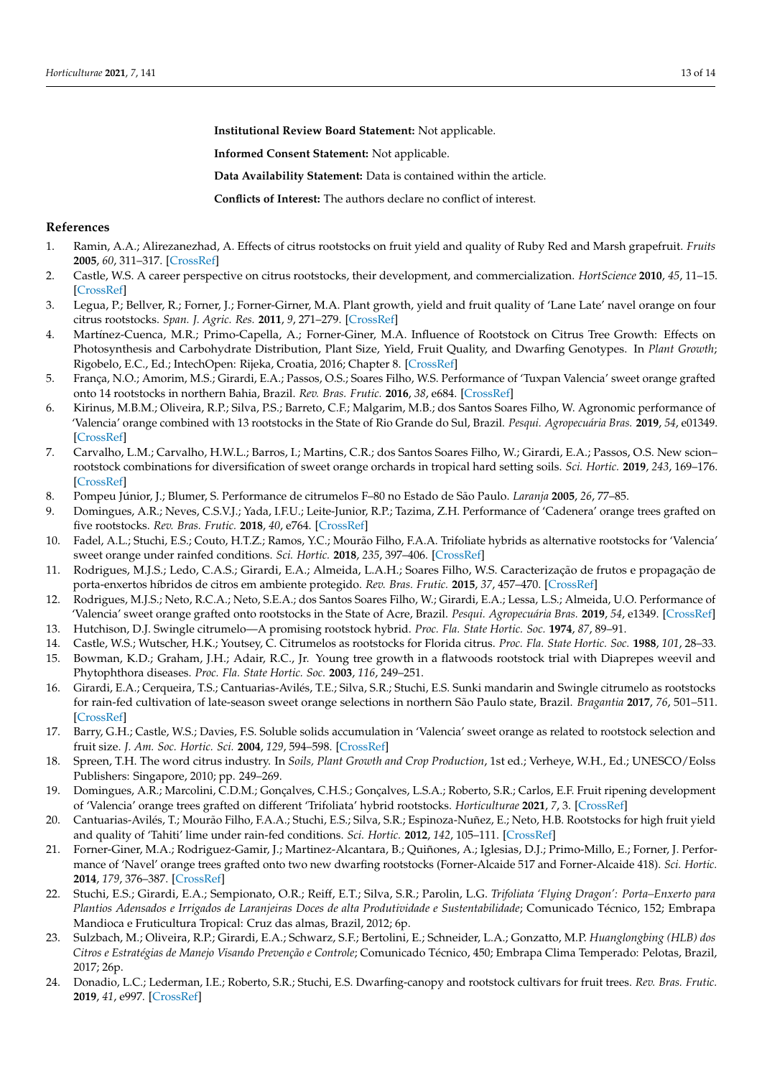**Institutional Review Board Statement:** Not applicable.

**Informed Consent Statement:** Not applicable.

**Data Availability Statement:** Data is contained within the article.

**Conflicts of Interest:** The authors declare no conflict of interest.

## **References**

- <span id="page-12-0"></span>1. Ramin, A.A.; Alirezanezhad, A. Effects of citrus rootstocks on fruit yield and quality of Ruby Red and Marsh grapefruit. *Fruits* **2005**, *60*, 311–317. [\[CrossRef\]](http://doi.org/10.1051/fruits:2005037)
- <span id="page-12-8"></span>2. Castle, W.S. A career perspective on citrus rootstocks, their development, and commercialization. *HortScience* **2010**, *45*, 11–15. [\[CrossRef\]](http://doi.org/10.21273/HORTSCI.45.1.11)
- 3. Legua, P.; Bellver, R.; Forner, J.; Forner-Girner, M.A. Plant growth, yield and fruit quality of 'Lane Late' navel orange on four citrus rootstocks. *Span. J. Agric. Res.* **2011**, *9*, 271–279. [\[CrossRef\]](http://doi.org/10.5424/sjar/20110901-172-10)
- <span id="page-12-1"></span>4. Martínez-Cuenca, M.R.; Primo-Capella, A.; Forner-Giner, M.A. Influence of Rootstock on Citrus Tree Growth: Effects on Photosynthesis and Carbohydrate Distribution, Plant Size, Yield, Fruit Quality, and Dwarfing Genotypes. In *Plant Growth*; Rigobelo, E.C., Ed.; IntechOpen: Rijeka, Croatia, 2016; Chapter 8. [\[CrossRef\]](http://doi.org/10.5772/64825)
- <span id="page-12-2"></span>5. França, N.O.; Amorim, M.S.; Girardi, E.A.; Passos, O.S.; Soares Filho, W.S. Performance of 'Tuxpan Valencia' sweet orange grafted onto 14 rootstocks in northern Bahia, Brazil. *Rev. Bras. Frutic.* **2016**, *38*, e684. [\[CrossRef\]](http://doi.org/10.1590/0100-29452016684)
- 6. Kirinus, M.B.M.; Oliveira, R.P.; Silva, P.S.; Barreto, C.F.; Malgarim, M.B.; dos Santos Soares Filho, W. Agronomic performance of 'Valencia' orange combined with 13 rootstocks in the State of Rio Grande do Sul, Brazil. *Pesqui. Agropecuária Bras.* **2019**, *54*, e01349. [\[CrossRef\]](http://doi.org/10.1590/s1678-3921.pab2019.v54.00461)
- <span id="page-12-3"></span>7. Carvalho, L.M.; Carvalho, H.W.L.; Barros, I.; Martins, C.R.; dos Santos Soares Filho, W.; Girardi, E.A.; Passos, O.S. New scion– rootstock combinations for diversification of sweet orange orchards in tropical hard setting soils. *Sci. Hortic.* **2019**, *243*, 169–176. [\[CrossRef\]](http://doi.org/10.1016/j.scienta.2018.07.032)
- <span id="page-12-4"></span>8. Pompeu Júnior, J.; Blumer, S. Performance de citrumelos F–80 no Estado de São Paulo. *Laranja* **2005**, *26*, 77–85.
- <span id="page-12-18"></span>9. Domingues, A.R.; Neves, C.S.V.J.; Yada, I.F.U.; Leite-Junior, R.P.; Tazima, Z.H. Performance of 'Cadenera' orange trees grafted on five rootstocks. *Rev. Bras. Frutic.* **2018**, *40*, e764. [\[CrossRef\]](http://doi.org/10.1590/0100-29452018764)
- <span id="page-12-16"></span>10. Fadel, A.L.; Stuchi, E.S.; Couto, H.T.Z.; Ramos, Y.C.; Mourão Filho, F.A.A. Trifoliate hybrids as alternative rootstocks for 'Valencia' sweet orange under rainfed conditions. *Sci. Hortic.* **2018**, *235*, 397–406. [\[CrossRef\]](http://doi.org/10.1016/j.scienta.2018.01.051)
- 11. Rodrigues, M.J.S.; Ledo, C.A.S.; Girardi, E.A.; Almeida, L.A.H.; Soares Filho, W.S. Caracterização de frutos e propagação de porta-enxertos híbridos de citros em ambiente protegido. *Rev. Bras. Frutic.* **2015**, *37*, 457–470. [\[CrossRef\]](http://doi.org/10.1590/0100-2945-068/14)
- <span id="page-12-5"></span>12. Rodrigues, M.J.S.; Neto, R.C.A.; Neto, S.E.A.; dos Santos Soares Filho, W.; Girardi, E.A.; Lessa, L.S.; Almeida, U.O. Performance of 'Valencia' sweet orange grafted onto rootstocks in the State of Acre, Brazil. *Pesqui. Agropecuária Bras.* **2019**, *54*, e1349. [\[CrossRef\]](http://doi.org/10.1590/s1678-3921.pab2019.v54.01349)
- <span id="page-12-6"></span>13. Hutchison, D.J. Swingle citrumelo—A promising rootstock hybrid. *Proc. Fla. State Hortic. Soc.* **1974**, *87*, 89–91.
- <span id="page-12-7"></span>14. Castle, W.S.; Wutscher, H.K.; Youtsey, C. Citrumelos as rootstocks for Florida citrus. *Proc. Fla. State Hortic. Soc.* **1988**, *101*, 28–33. 15. Bowman, K.D.; Graham, J.H.; Adair, R.C., Jr. Young tree growth in a flatwoods rootstock trial with Diaprepes weevil and Phytophthora diseases. *Proc. Fla. State Hortic. Soc.* **2003**, *116*, 249–251.
- <span id="page-12-9"></span>16. Girardi, E.A.; Cerqueira, T.S.; Cantuarias-Avilés, T.E.; Silva, S.R.; Stuchi, E.S. Sunki mandarin and Swingle citrumelo as rootstocks for rain-fed cultivation of late-season sweet orange selections in northern São Paulo state, Brazil. *Bragantia* **2017**, *76*, 501–511. [\[CrossRef\]](http://doi.org/10.1590/1678-4499.2016.350)
- <span id="page-12-10"></span>17. Barry, G.H.; Castle, W.S.; Davies, F.S. Soluble solids accumulation in 'Valencia' sweet orange as related to rootstock selection and fruit size. *J. Am. Soc. Hortic. Sci.* **2004**, *129*, 594–598. [\[CrossRef\]](http://doi.org/10.21273/JASHS.129.4.0594)
- <span id="page-12-11"></span>18. Spreen, T.H. The word citrus industry. In *Soils, Plant Growth and Crop Production*, 1st ed.; Verheye, W.H., Ed.; UNESCO/Eolss Publishers: Singapore, 2010; pp. 249–269.
- <span id="page-12-12"></span>19. Domingues, A.R.; Marcolini, C.D.M.; Gonçalves, C.H.S.; Gonçalves, L.S.A.; Roberto, S.R.; Carlos, E.F. Fruit ripening development of 'Valencia' orange trees grafted on different 'Trifoliata' hybrid rootstocks. *Horticulturae* **2021**, *7*, 3. [\[CrossRef\]](http://doi.org/10.3390/horticulturae7010003)
- <span id="page-12-13"></span>20. Cantuarias-Avilés, T.; Mourão Filho, F.A.A.; Stuchi, E.S.; Silva, S.R.; Espinoza-Nuñez, E.; Neto, H.B. Rootstocks for high fruit yield and quality of 'Tahiti' lime under rain-fed conditions. *Sci. Hortic.* **2012**, *142*, 105–111. [\[CrossRef\]](http://doi.org/10.1016/j.scienta.2012.05.008)
- <span id="page-12-14"></span>21. Forner-Giner, M.A.; Rodriguez-Gamir, J.; Martinez-Alcantara, B.; Quiñones, A.; Iglesias, D.J.; Primo-Millo, E.; Forner, J. Performance of 'Navel' orange trees grafted onto two new dwarfing rootstocks (Forner-Alcaide 517 and Forner-Alcaide 418). *Sci. Hortic.* **2014**, *179*, 376–387. [\[CrossRef\]](http://doi.org/10.1016/j.scienta.2014.07.032)
- <span id="page-12-15"></span>22. Stuchi, E.S.; Girardi, E.A.; Sempionato, O.R.; Reiff, E.T.; Silva, S.R.; Parolin, L.G. *Trifoliata 'Flying Dragon': Porta–Enxerto para Plantios Adensados e Irrigados de Laranjeiras Doces de alta Produtividade e Sustentabilidade*; Comunicado Técnico, 152; Embrapa Mandioca e Fruticultura Tropical: Cruz das almas, Brazil, 2012; 6p.
- 23. Sulzbach, M.; Oliveira, R.P.; Girardi, E.A.; Schwarz, S.F.; Bertolini, E.; Schneider, L.A.; Gonzatto, M.P. *Huanglongbing (HLB) dos Citros e Estratégias de Manejo Visando Prevenção e Controle*; Comunicado Técnico, 450; Embrapa Clima Temperado: Pelotas, Brazil, 2017; 26p.
- <span id="page-12-17"></span>24. Donadio, L.C.; Lederman, I.E.; Roberto, S.R.; Stuchi, E.S. Dwarfing-canopy and rootstock cultivars for fruit trees. *Rev. Bras. Frutic.* **2019**, *41*, e997. [\[CrossRef\]](http://doi.org/10.1590/0100-29452019997)